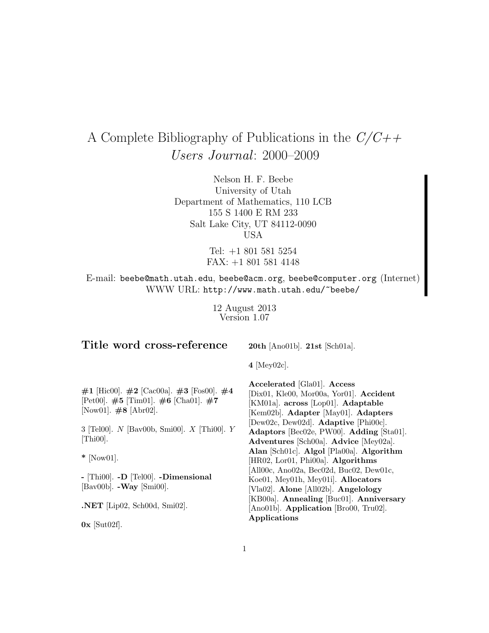# A Complete Bibliography of Publications in the  $C/C++$ Users Journal: 2000–2009

Nelson H. F. Beebe University of Utah Department of Mathematics, 110 LCB 155 S 1400 E RM 233 Salt Lake City, UT 84112-0090 USA

> Tel: +1 801 581 5254 FAX: +1 801 581 4148

E-mail: beebe@math.utah.edu, beebe@acm.org, beebe@computer.org (Internet) WWW URL: http://www.math.utah.edu/~beebe/

> 12 August 2013 Version 1.07

## **Title word cross-reference**

**20th** [Ano01b]. **21st** [Sch01a].

**4** [Mey02c].

**#1** [Hic00]. **#2** [Cac00a]. **#3** [Fos00]. **#4** [Pet00]. **#5** [Tim01]. **#6** [Cha01]. **#7** [Now01]. **#8** [Abr02].

3 [Tel00]. N [Bav00b, Smi00]. X [Thi00]. Y [Thi00].

**\*** [Now01].

**-** [Thi00]. **-D** [Tel00]. **-Dimensional** [Bav00b]. **-Way** [Smi00].

**.NET** [Lip02, Sch00d, Smi02].

**0x** [Sut02f].

**Accelerated** [Gla01]. **Access** [Dix01, Kle00, Mor00a, Yor01]. **Accident** [KM01a]. **across** [Lop01]. **Adaptable** [Kem02b]. **Adapter** [May01]. **Adapters** [Dew02c, Dew02d]. **Adaptive** [Phi00c]. **Adaptors** [Bec02e, PW00]. **Adding** [Sta01]. **Adventures** [Sch00a]. **Advice** [Mey02a]. **Alan** [Sch01c]. **Algol** [Pla00a]. **Algorithm** [HR02, Lor01, Phi00a]. **Algorithms** [All00c, Ano02a, Bec02d, Buc02, Dew01c, Koe01, Mey01h, Mey01i]. **Allocators** [Vla02]. **Alone** [All02b]. **Angelology** [KB00a]. **Annealing** [Buc01]. **Anniversary** [Ano01b]. **Application** [Bro00, Tru02]. **Applications**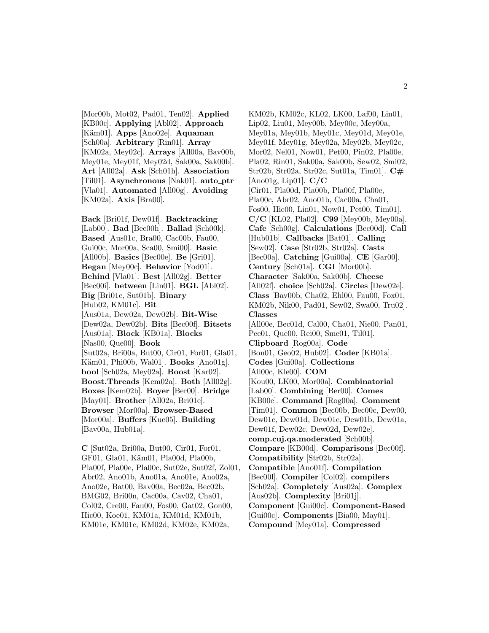[Mor00b, Mot02, Pad01, Ten02]. **Applied** [KB00c]. **Applying** [Abl02]. **Approach** [K¨am01]. **Apps** [Ano02e]. **Aquaman** [Sch00a]. **Arbitrary** [Rin01]. **Array** [KM02a, Mey02c]. **Arrays** [All00a, Bav00b, Mey01e, Mey01f, Mey02d, Sak00a, Sak00b]. **Art** [All02a]. **Ask** [Sch01h]. **Association** [Til01]. **Asynchronous** [Nak01]. **auto ptr** [Vla01]. **Automated** [All00g]. **Avoiding** [KM02a]. **Axis** [Bra00].

**Back** [Bri01f, Dew01f]. **Backtracking** [Lab00]. **Bad** [Bec00h]. **Ballad** [Sch00k]. **Based** [Aus01c, Bra00, Cac00b, Fau00, Gui00c, Mor00a, Sca00, Smi00]. **Basic** [All00b]. **Basics** [Bec00e]. **Be** [Gri01]. **Began** [Mey00c]. **Behavior** [Yod01]. **Behind** [Vla01]. **Best** [All02g]. **Better** [Bec00i]. **between** [Lin01]. **BGL** [Abl02]. **Big** [Bri01e, Sut01b]. **Binary** [Hub02, KM01c]. **Bit** [Aus01a, Dew02a, Dew02b]. **Bit-Wise** [Dew02a, Dew02b]. **Bits** [Bec00f]. **Bitsets** [Aus01a]. **Block** [KB01a]. **Blocks** [Nas00, Que00]. **Book** [Sut02a, Bri00a, But00, Cir01, For01, Gla01, Käm01, Phi00b, Wal01. **Books** [Ano01g]. **bool** [Sch02a, Mey02a]. **Boost** [Kar02]. **Boost.Threads** [Kem02a]. **Both** [All02g]. **Boxes** [Kem02b]. **Boyer** [Ber00]. **Bridge** [May01]. **Brother** [All02a, Bri01e]. **Browser** [Mor00a]. **Browser-Based** [Mor00a]. **Buffers** [Kue05]. **Building** [Bav00a, Hub01a].

**C** [Sut02a, Bri00a, But00, Cir01, For01, GF01, Gla01, Käm01, Pla00d, Pla00b, Pla00f, Pla00e, Pla00c, Sut02e, Sut02f, Zol01, Abr02, Ano01b, Ano01a, Ano01e, Ano02a, Ano02e, Bat00, Bav00a, Bec02a, Bec02b, BMG02, Bri00n, Cac00a, Cav02, Cha01, Col02, Cre00, Fau00, Fos00, Gat02, Gon00, Hic00, Koe01, KM01a, KM01d, KM01b, KM01e, KM01c, KM02d, KM02e, KM02a,

KM02b, KM02c, KL02, LK00, Laf00, Lin01, Lip02, Liu01, Mey00b, Mey00c, Mey00a, Mey01a, Mey01b, Mey01c, Mey01d, Mey01e, Mey01f, Mey01g, Mey02a, Mey02b, Mey02c, Mor02, Nel01, Now01, Pet00, Pin02, Pla00e, Pla02, Rin01, Sak00a, Sak00b, Sew02, Smi02, Str02b, Str02a, Str02c, Sut01a, Tim01]. **C#** [Ano01g, Lip01]. **C/C** [Cir01, Pla00d, Pla00b, Pla00f, Pla00e, Pla00c, Abr02, Ano01b, Cac00a, Cha01, Fos00, Hic00, Lin01, Now01, Pet00, Tim01]. **C/C** [KL02, Pla02]. **C99** [Mey00b, Mey00a]. **Cafe** [Sch00g]. **Calculations** [Bec00d]. **Call** [Hub01b]. **Callbacks** [Bat01]. **Calling** [Sew02]. **Case** [Str02b, Str02a]. **Casts** [Bec00a]. **Catching** [Gui00a]. **CE** [Gar00]. **Century** [Sch01a]. **CGI** [Mor00b]. **Character** [Sak00a, Sak00b]. **Cheese** [All02f]. **choice** [Sch02a]. **Circles** [Dew02e]. **Class** [Bav00b, Cha02, Ehl00, Fau00, Fox01, KM02b, Nik00, Pad01, Sew02, Swa00, Tru02]. **Classes** [All00e, Bec01d, Cal00, Cha01, Nie00, Pan01, Pee01, Que00, Rei00, Sme01, Til01]. **Clipboard** [Rog00a]. **Code** [Bon01, Geo02, Hub02]. **Coder** [KB01a]. **Codes** [Gui00a]. **Collections** [All00c, Kle00]. **COM** [Kou00, LK00, Mor00a]. **Combinatorial** [Lab00]. **Combining** [Ber00]. **Comes** [KB00e]. **Command** [Rog00a]. **Comment** [Tim01]. **Common** [Bec00b, Bec00c, Dew00, Dew01c, Dew01d, Dew01e, Dew01b, Dew01a, Dew01f, Dew02c, Dew02d, Dew02e]. **comp.cuj.qa.moderated** [Sch00b]. **Compare** [KB00d]. **Comparisons** [Bec00f]. **Compatibility** [Str02b, Str02a]. **Compatible** [Ano01f]. **Compilation** [Bec00l]. **Compiler** [Col02]. **compilers** [Sch02a]. **Completely** [Aus02a]. **Complex** [Aus02b]. **Complexity** [Bri01j]. **Component** [Gui00c]. **Component-Based** [Gui00c]. **Components** [Bia00, May01]. **Compound** [Mey01a]. **Compressed**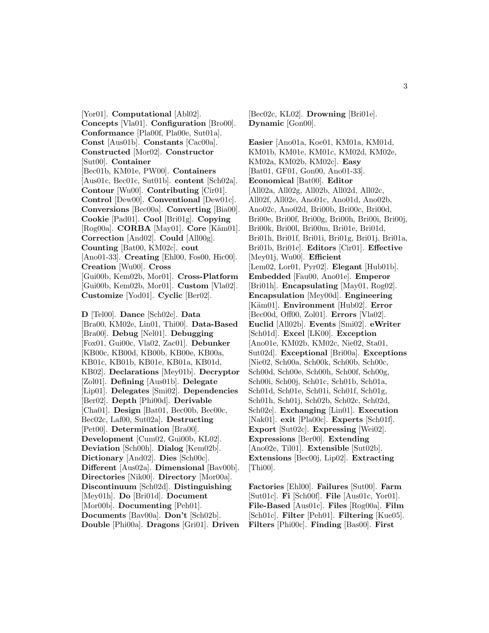[Yor01]. **Computational** [Abl02]. **Concepts** [Vla01]. **Configuration** [Bro00]. **Conformance** [Pla00f, Pla00e, Sut01a]. **Const** [Aus01b]. **Constants** [Cac00a]. **Constructed** [Mor02]. **Constructor** [Sut00]. **Container** [Bec01b, KM01e, PW00]. **Containers** [Aus01c, Bec01c, Sut01b]. **content** [Sch02a]. **Contour** [Wu00]. **Contributing** [Cir01]. **Control** [Dew00]. **Conventional** [Dew01c]. **Conversions** [Bec00a]. **Converting** [Bia00]. **Cookie** [Pad01]. **Cool** [Bri01g]. **Copying** [Rog00a]. **CORBA** [May01]. **Core** [Käm01]. **Correction** [And02]. **Could** [All00g]. **Counting** [Bat00, KM02c]. **cout** [Ano01-33]. **Creating** [Ehl00, Fos00, Hic00]. **Creation** [Wu00]. **Cross** [Gui00b, Kem02b, Mor01]. **Cross-Platform** [Gui00b, Kem02b, Mor01]. **Custom** [Vla02]. **Customize** [Yod01]. **Cyclic** [Ber02].

**D** [Tel00]. **Dance** [Sch02e]. **Data** [Bra00, KM02e, Lin01, Thi00]. **Data-Based** [Bra00]. **Debug** [Nel01]. **Debugging** [Fox01, Gui00c, Vla02, Zac01]. **Debunker** [KB00c, KB00d, KB00b, KB00e, KB00a, KB01c, KB01b, KB01e, KB01a, KB01d, KB02]. **Declarations** [Mey01b]. **Decryptor** [Zol01]. **Defining** [Aus01b]. **Delegate** [Lip01]. **Delegates** [Smi02]. **Dependencies** [Ber02]. **Depth** [Phi00d]. **Derivable** [Cha01]. **Design** [Bat01, Bec00b, Bec00c, Bec02c, Laf00, Sut02a]. **Destructing** [Pet00]. **Determination** [Bra00]. **Development** [Cum02, Gui00b, KL02]. **Deviation** [Sch00h]. **Dialog** [Kem02b]. **Dictionary** [And02]. **Dies** [Sch00c]. **Different** [Aus02a]. **Dimensional** [Bav00b]. **Directories** [Nik00]. **Directory** [Mor00a]. **Discontinuum** [Sch02d]. **Distinguishing** [Mey01h]. **Do** [Bri01d]. **Document** [Mor00b]. **Documenting** [Peh01]. **Documents** [Bav00a]. **Don't** [Sch02b]. **Double** [Phi00a]. **Dragons** [Gri01]. **Driven**

[Bec02c, KL02]. **Drowning** [Bri01e]. **Dynamic** [Gon00].

**Easier** [Ano01a, Koe01, KM01a, KM01d, KM01b, KM01e, KM01c, KM02d, KM02e, KM02a, KM02b, KM02c]. **Easy** [Bat01, GF01, Gon00, Ano01-33]. **Economical** [Bat00]. **Editor** [All02a, All02g, All02b, All02d, All02c, All02f, All02e, Ano01c, Ano01d, Ano02b, Ano02c, Ano02d, Bri00b, Bri00c, Bri00d, Bri00e, Bri00f, Bri00g, Bri00h, Bri00i, Bri00j, Bri00k, Bri00l, Bri00m, Bri01e, Bri01d, Bri01h, Bri01f, Bri01i, Bri01g, Bri01j, Bri01a, Bri01b, Bri01c]. **Editors** [Cir01]. **Effective** [Mey01j, Wu00]. **Efficient** [Lem02, Lor01, Pyr02]. **Elegant** [Hub01b]. **Embedded** [Fau00, Ano01e]. **Emperor** [Bri01h]. **Encapsulating** [May01, Rog02]. **Encapsulation** [Mey00d]. **Engineering** [Käm01]. **Environment** [Hub02]. **Error** [Bec00d, Off00, Zol01]. **Errors** [Vla02]. **Euclid** [All02b]. **Events** [Smi02]. **eWriter** [Sch01d]. **Excel** [LK00]. **Exception** [Ano01e, KM02b, KM02c, Nie02, Sta01, Sut02d]. **Exceptional** [Bri00a]. **Exceptions** [Nie02, Sch00a, Sch00k, Sch00b, Sch00c, Sch00d, Sch00e, Sch00h, Sch00f, Sch00g, Sch00i, Sch00j, Sch01c, Sch01b, Sch01a, Sch01d, Sch01e, Sch01i, Sch01f, Sch01g, Sch01h, Sch01j, Sch02b, Sch02c, Sch02d, Sch02e]. **Exchanging** [Lin01]. **Execution** [Nak01]. **exit** [Pla00c]. **Experts** [Sch01f]. **Export** [Sut02c]. **Expressing** [Wei02]. **Expressions** [Ber00]. **Extending** [Ano02e, Til01]. **Extensible** [Sut02b]. **Extensions** [Bec00j, Lip02]. **Extracting** [Thi00].

**Factories** [Ehl00]. **Failures** [Sut00]. **Farm** [Sut01c]. **Fi** [Sch00f]. **File** [Aus01c, Yor01]. **File-Based** [Aus01c]. **Files** [Rog00a]. **Film** [Sch01c]. **Filter** [Peh01]. **Filtering** [Kue05]. **Filters** [Phi00c]. **Finding** [Bas00]. **First**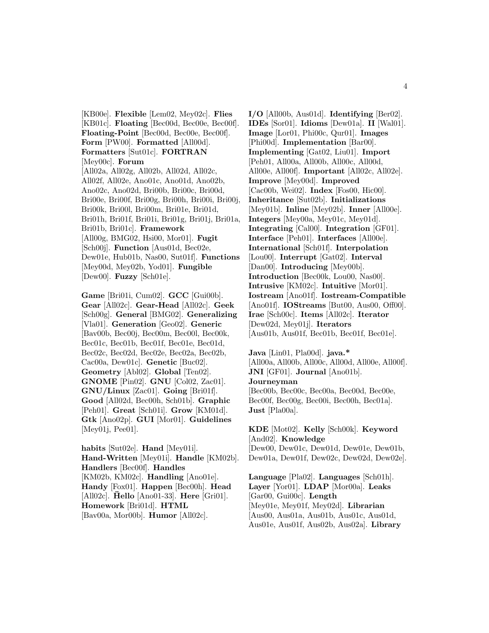[KB00e]. **Flexible** [Lem02, Mey02c]. **Flies** [KB01c]. **Floating** [Bec00d, Bec00e, Bec00f]. **Floating-Point** [Bec00d, Bec00e, Bec00f]. **Form** [PW00]. **Formatted** [All00d]. **Formatters** [Sut01c]. **FORTRAN** [Mey00c]. **Forum** [All02a, All02g, All02b, All02d, All02c, All02f, All02e, Ano01c, Ano01d, Ano02b, Ano02c, Ano02d, Bri00b, Bri00c, Bri00d, Bri00e, Bri00f, Bri00g, Bri00h, Bri00i, Bri00j, Bri00k, Bri00l, Bri00m, Bri01e, Bri01d, Bri01h, Bri01f, Bri01i, Bri01g, Bri01j, Bri01a, Bri01b, Bri01c]. **Framework** [All00g, BMG02, Hsi00, Mor01]. **Fugit** [Sch00j]. **Function** [Aus01d, Bec02e, Dew01e, Hub01b, Nas00, Sut01f]. **Functions** [Mey00d, Mey02b, Yod01]. **Fungible** [Dew00]. **Fuzzy** [Sch01e].

**Game** [Bri01i, Cum02]. **GCC** [Gui00b]. **Gear** [All02c]. **Gear-Head** [All02c]. **Geek** [Sch00g]. **General** [BMG02]. **Generalizing** [Vla01]. **Generation** [Geo02]. **Generic** [Bav00b, Bec00j, Bec00m, Bec00l, Bec00k, Bec01c, Bec01b, Bec01f, Bec01e, Bec01d, Bec02c, Bec02d, Bec02e, Bec02a, Bec02b, Cac00a, Dew01c]. **Genetic** [Buc02]. **Geometry** [Abl02]. **Global** [Ten02]. **GNOME** [Pin02]. **GNU** [Col02, Zac01]. **GNU/Linux** [Zac01]. **Going** [Bri01f]. **Good** [All02d, Bec00h, Sch01b]. **Graphic** [Peh01]. **Great** [Sch01i]. **Grow** [KM01d]. **Gtk** [Ano02p]. **GUI** [Mor01]. **Guidelines** [Mey01j, Pee01].

**habits** [Sut02e]. **Hand** [Mey01i]. **Hand-Written** [Mey01i]. **Handle** [KM02b]. **Handlers** [Bec00f]. **Handles** [KM02b, KM02c]. **Handling** [Ano01e]. **Handy** [Fox01]. **Happen** [Bec00h]. **Head** [All02c]. **Hello ¨** [Ano01-33]. **Here** [Gri01]. **Homework** [Bri01d]. **HTML** [Bav00a, Mor00b]. **Humor** [All02c].

**I/O** [All00b, Aus01d]. **Identifying** [Ber02]. **IDEs** [Sor01]. **Idioms** [Dew01a]. **II** [Wal01]. **Image** [Lor01, Phi00c, Qur01]. **Images** [Phi00d]. **Implementation** [Bar00]. **Implementing** [Gat02, Liu01]. **Import** [Peh01, All00a, All00b, All00c, All00d, All00e, All00f]. **Important** [All02c, All02e]. **Improve** [Mey00d]. **Improved** [Cac00b, Wei02]. **Index** [Fos00, Hic00]. **Inheritance** [Sut02b]. **Initializations** [Mey01b]. **Inline** [Mey02b]. **Inner** [All00e]. **Integers** [Mey00a, Mey01c, Mey01d]. **Integrating** [Cal00]. **Integration** [GF01]. **Interface** [Peh01]. **Interfaces** [All00e]. **International** [Sch01f]. **Interpolation** [Lou00]. **Interrupt** [Gat02]. **Interval** [Dan00]. **Introducing** [Mey00b]. **Introduction** [Bec00k, Lou00, Nas00]. **Intrusive** [KM02c]. **Intuitive** [Mor01]. **Iostream** [Ano01f]. **Iostream-Compatible** [Ano01f]. **IOStreams** [But00, Aus00, Off00]. **Irae** [Sch00c]. **Items** [All02c]. **Iterator** [Dew02d, Mey01j]. **Iterators** [Aus01b, Aus01f, Bec01b, Bec01f, Bec01e].

**Java** [Lin01, Pla00d]. **java.\*** [All00a, All00b, All00c, All00d, All00e, All00f]. **JNI** [GF01]. **Journal** [Ano01b]. **Journeyman** [Bec00b, Bec00c, Bec00a, Bec00d, Bec00e, Bec00f, Bec00g, Bec00i, Bec00h, Bec01a]. **Just** [Pla00a].

**KDE** [Mot02]. **Kelly** [Sch00k]. **Keyword** [And02]. **Knowledge** [Dew00, Dew01c, Dew01d, Dew01e, Dew01b, Dew01a, Dew01f, Dew02c, Dew02d, Dew02e].

**Language** [Pla02]. **Languages** [Sch01h]. **Layer** [Yor01]. **LDAP** [Mor00a]. **Leaks** [Gar00, Gui00c]. **Length** [Mey01e, Mey01f, Mey02d]. **Librarian** [Aus00, Aus01a, Aus01b, Aus01c, Aus01d, Aus01e, Aus01f, Aus02b, Aus02a]. **Library**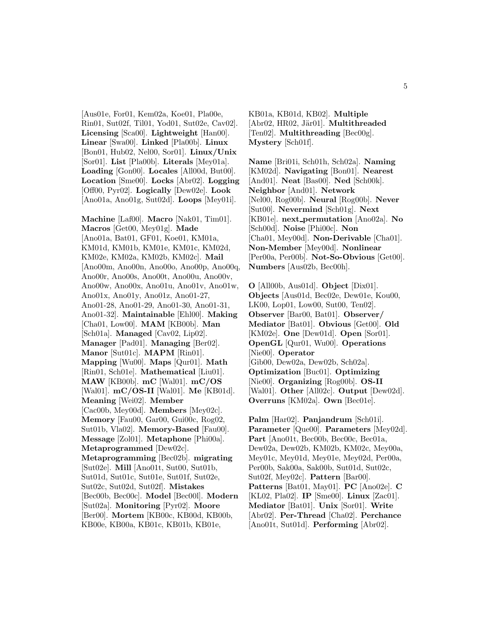[Aus01e, For01, Kem02a, Koe01, Pla00e, Rin01, Sut02f, Til01, Yod01, Sut02e, Cav02]. **Licensing** [Sca00]. **Lightweight** [Han00]. **Linear** [Swa00]. **Linked** [Pla00b]. **Linux** [Bon01, Hub02, Nel00, Sor01]. **Linux/Unix** [Sor01]. **List** [Pla00b]. **Literals** [Mey01a]. **Loading** [Gon00]. **Locales** [All00d, But00]. **Location** [Sme00]. **Locks** [Abr02]. **Logging** [Off00, Pyr02]. **Logically** [Dew02e]. **Look** [Ano01a, Ano01g, Sut02d]. **Loops** [Mey01i].

**Machine** [Laf00]. **Macro** [Nak01, Tim01]. **Macros** [Get00, Mey01g]. **Made** [Ano01a, Bat01, GF01, Koe01, KM01a, KM01d, KM01b, KM01e, KM01c, KM02d, KM02e, KM02a, KM02b, KM02c]. **Mail** [Ano00m, Ano00n, Ano00o, Ano00p, Ano00q, Ano00r, Ano00s, Ano00t, Ano00u, Ano00v, Ano00w, Ano00x, Ano01u, Ano01v, Ano01w, Ano01x, Ano01y, Ano01z, Ano01-27, Ano01-28, Ano01-29, Ano01-30, Ano01-31, Ano01-32]. **Maintainable** [Ehl00]. **Making** [Cha01, Low00]. **MAM** [KB00b]. **Man** [Sch01a]. **Managed** [Cav02, Lip02]. **Manager** [Pad01]. **Managing** [Ber02]. **Manor** [Sut01c]. **MAPM** [Rin01]. **Mapping** [Wu00]. **Maps** [Qur01]. **Math** [Rin01, Sch01e]. **Mathematical** [Liu01]. **MAW** [KB00b]. **mC** [Wal01]. **mC/OS** [Wal01]. **mC/OS-II** [Wal01]. **Me** [KB01d]. **Meaning** [Wei02]. **Member** [Cac00b, Mey00d]. **Members** [Mey02c]. **Memory** [Fau00, Gar00, Gui00c, Rog02, Sut01b, Vla02]. **Memory-Based** [Fau00]. **Message** [Zol01]. **Metaphone** [Phi00a]. **Metaprogrammed** [Dew02c]. **Metaprogramming** [Bec02b]. **migrating** [Sut02e]. **Mill** [Ano01t, Sut00, Sut01b, Sut01d, Sut01c, Sut01e, Sut01f, Sut02e, Sut02c, Sut02d, Sut02f]. **Mistakes** [Bec00b, Bec00c]. **Model** [Bec00l]. **Modern** [Sut02a]. **Monitoring** [Pyr02]. **Moore** [Ber00]. **Mortem** [KB00c, KB00d, KB00b, KB00e, KB00a, KB01c, KB01b, KB01e,

KB01a, KB01d, KB02]. **Multiple** [Abr02, HR02, Jär01]. **Multithreaded** [Ten02]. **Multithreading** [Bec00g]. **Mystery** [Sch01f].

**Name** [Bri01i, Sch01h, Sch02a]. **Naming** [KM02d]. **Navigating** [Bon01]. **Nearest** [And01]. **Neat** [Bas00]. **Ned** [Sch00k]. **Neighbor** [And01]. **Network** [Nel00, Rog00b]. **Neural** [Rog00b]. **Never** [Sut00]. **Nevermind** [Sch01g]. **Next** [KB01e]. **next permutation** [Ano02a]. **No** [Sch00d]. **Noise** [Phi00c]. **Non** [Cha01, Mey00d]. **Non-Derivable** [Cha01]. **Non-Member** [Mey00d]. **Nonlinear** [Per00a, Per00b]. **Not-So-Obvious** [Get00]. **Numbers** [Aus02b, Bec00h].

**O** [All00b, Aus01d]. **Object** [Dix01]. **Objects** [Aus01d, Bec02e, Dew01e, Kou00, LK00, Lop01, Low00, Sut00, Ten02]. **Observer** [Bar00, Bat01]. **Observer/ Mediator** [Bat01]. **Obvious** [Get00]. **Old** [KM02e]. **One** [Dew01d]. **Open** [Sor01]. **OpenGL** [Qur01, Wu00]. **Operations** [Nie00]. **Operator** [Gib00, Dew02a, Dew02b, Sch02a]. **Optimization** [Buc01]. **Optimizing** [Nie00]. **Organizing** [Rog00b]. **OS-II** [Wal01]. **Other** [All02c]. **Output** [Dew02d]. **Overruns** [KM02a]. **Own** [Bec01e].

**Palm** [Har02]. **Panjandrum** [Sch01i]. **Parameter** [Que00]. **Parameters** [Mey02d]. Part [Ano01t, Bec00b, Bec00c, Bec01a, Dew02a, Dew02b, KM02b, KM02c, Mey00a, Mey01c, Mey01d, Mey01e, Mey02d, Per00a, Per00b, Sak00a, Sak00b, Sut01d, Sut02c, Sut02f, Mey02c]. **Pattern** [Bar00]. **Patterns** [Bat01, May01]. **PC** [Ano02e]. **C** [KL02, Pla02]. **IP** [Sme00]. **Linux** [Zac01]. **Mediator** [Bat01]. **Unix** [Sor01]. **Write** [Abr02]. **Per-Thread** [Cha02]. **Perchance** [Ano01t, Sut01d]. **Performing** [Abr02].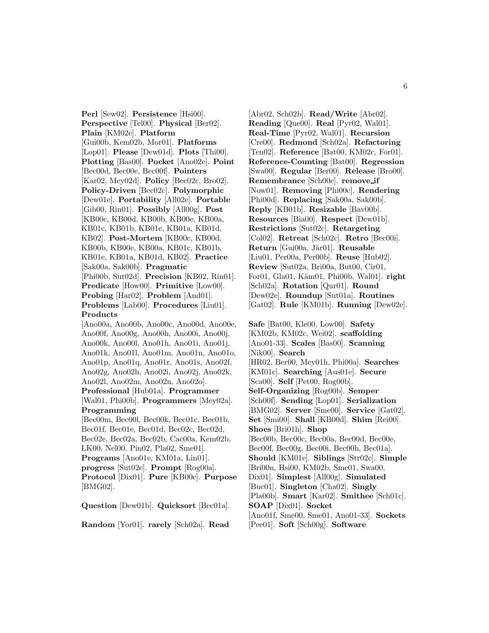**Perl** [Sew02]. **Persistence** [Hsi00]. **Perspective** [Tel00]. **Physical** [Ber02]. **Plain** [KM02e]. **Platform** [Gui00b, Kem02b, Mor01]. **Platforms** [Lop01]. **Please** [Dew01d]. **Plots** [Thi00]. **Plotting** [Bas00]. **Pocket** [Ano02e]. **Point** [Bec00d, Bec00e, Bec00f]. **Pointers** [Kar02, Mey02d]. **Policy** [Bec02c, Bro02]. **Policy-Driven** [Bec02c]. **Polymorphic** [Dew01e]. **Portability** [All02e]. **Portable** [Gib00, Rin01]. **Possibly** [All00g]. **Post** [KB00c, KB00d, KB00b, KB00e, KB00a, KB01c, KB01b, KB01e, KB01a, KB01d, KB02]. **Post-Mortem** [KB00c, KB00d, KB00b, KB00e, KB00a, KB01c, KB01b, KB01e, KB01a, KB01d, KB02]. **Practice** [Sak00a, Sak00b]. **Pragmatic** [Phi00b, Sut02d]. **Precision** [KB02, Rin01]. **Predicate** [How00]. **Primitive** [Low00]. **Probing** [Har02]. **Problem** [And01]. **Problems** [Lab00]. **Procedures** [Liu01]. **Products** [Ano00a, Ano00b, Ano00c, Ano00d, Ano00e, Ano00f, Ano00g, Ano00h, Ano00i, Ano00j, Ano00k, Ano00l, Ano01h, Ano01i, Ano01j, Ano01k, Ano01l, Ano01m, Ano01n, Ano01o, Ano01p, Ano01q, Ano01r, Ano01s, Ano02f, Ano02g, Ano02h, Ano02i, Ano02j, Ano02k, Ano02l, Ano02m, Ano02n, Ano02o]. **Professional** [Hub01a]. **Programmer** [Wal01, Phi00b]. **Programmers** [Mey02a]. **Programming** [Bec00m, Bec00l, Bec00k, Bec01c, Bec01b, Bec01f, Bec01e, Bec01d, Bec02c, Bec02d, Bec02e, Bec02a, Bec02b, Cac00a, Kem02b, LK00, Nel00, Pin02, Pla02, Sme01]. **Programs** [Ano01e, KM01a, Lin01]. **progress** [Sut02e]. **Prompt** [Rog00a]. **Protocol** [Dix01]. **Pure** [KB00c]. **Purpose** [BMG02].

**Question** [Dew01b]. **Quicksort** [Bec01a].

**Random** [Yor01]. **rarely** [Sch02a]. **Read**

[Abr02, Sch02b]. **Read/Write** [Abr02]. **Reading** [Que00]. **Real** [Pyr02, Wal01]. **Real-Time** [Pyr02, Wal01]. **Recursion** [Cre00]. **Redmond** [Sch02a]. **Refactoring** [Ten02]. **Reference** [Bat00, KM02c, For01]. **Reference-Counting** [Bat00]. **Regression** [Swa00]. **Regular** [Ber00]. **Release** [Bro00]. **Remembrance** [Sch00e]. **remove if** [Now01]. **Removing** [Phi00c]. **Rendering** [Phi00d]. **Replacing** [Sak00a, Sak00b]. **Reply** [KB01b]. **Resizable** [Bav00b]. **Resources** [Bia00]. **Respect** [Dew01b]. **Restrictions** [Sut02c]. **Retargeting** [Col02]. **Retreat** [Sch02c]. **Retro** [Bec00i]. **Return** [Gui00a, Jär01]. **Reusable** [Liu01, Per00a, Per00b]. **Reuse** [Hub02]. **Review** [Sut02a, Bri00a, But00, Cir01, For01, Gla01, Käm01, Phi00b, Wal01]. **right** [Sch02a]. **Rotation** [Qur01]. **Round** [Dew02e]. **Roundup** [Sut01a]. **Routines** [Gat02]. **Rule** [KM01b]. **Running** [Dew02e].

**Safe** [Bat00, Kle00, Low00]. **Safety** [KM02b, KM02c, Wei02]. **scaffolding** [Ano01-33]. **Scales** [Bas00]. **Scanning** [Nik00]. **Search** [HR02, Ber00, Mey01h, Phi00a]. **Searches** [KM01c]. **Searching** [Aus01e]. **Secure** [Sca00]. **Self** [Pet00, Rog00b]. **Self-Organizing** [Rog00b]. **Semper** [Sch00f]. **Sending** [Lop01]. **Serialization** [BMG02]. **Server** [Sme00]. **Service** [Gat02]. **Set** [Smi00]. **Shall** [KB00d]. **Shim** [Rei00]. **Shoes** [Bri01h]. **Shop** [Bec00b, Bec00c, Bec00a, Bec00d, Bec00e, Bec00f, Bec00g, Bec00i, Bec00h, Bec01a]. **Should** [KM01e]. **Siblings** [Str02c]. **Simple** [Bri00n, Hsi00, KM02b, Sme01, Swa00, Dix01]. **Simplest** [All00g]. **Simulated** [Buc01]. **Singleton** [Cha02]. **Singly** [Pla00b]. **Smart** [Kar02]. **Smithee** [Sch01c]. **SOAP** [Dix01]. **Socket** [Ano01f, Sme00, Sme01, Ano01-33]. **Sockets** [Pee01]. **Soft** [Sch00g]. **Software**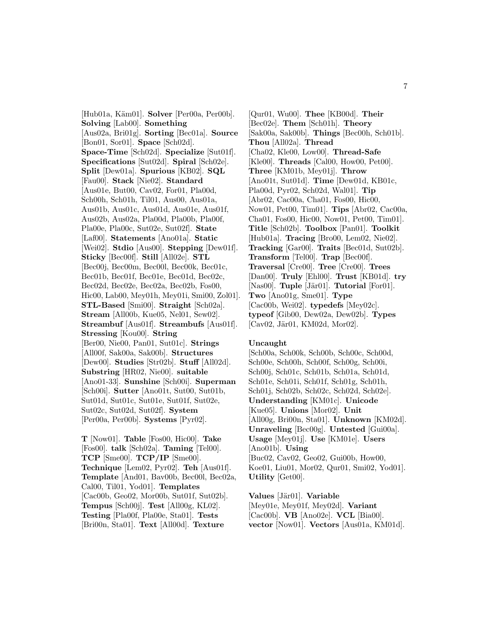[Hub01a, Käm01]. **Solver** [Per00a, Per00b]. **Solving** [Lab00]. **Something** [Aus02a, Bri01g]. **Sorting** [Bec01a]. **Source** [Bon01, Sor01]. **Space** [Sch02d]. **Space-Time** [Sch02d]. **Specialize** [Sut01f]. **Specifications** [Sut02d]. **Spiral** [Sch02e]. **Split** [Dew01a]. **Spurious** [KB02]. **SQL** [Fau00]. **Stack** [Nie02]. **Standard** [Aus01e, But00, Cav02, For01, Pla00d, Sch00h, Sch01h, Til01, Aus00, Aus01a, Aus01b, Aus01c, Aus01d, Aus01e, Aus01f, Aus02b, Aus02a, Pla00d, Pla00b, Pla00f, Pla00e, Pla00c, Sut02e, Sut02f]. **State** [Laf00]. **Statements** [Ano01a]. **Static** [Wei02]. **Stdio** [Aus00]. **Stepping** [Dew01f]. **Sticky** [Bec00f]. **Still** [All02e]. **STL** [Bec00j, Bec00m, Bec00l, Bec00k, Bec01c, Bec01b, Bec01f, Bec01e, Bec01d, Bec02c, Bec02d, Bec02e, Bec02a, Bec02b, Fos00, Hic00, Lab00, Mey01h, Mey01i, Smi00, Zol01]. **STL-Based** [Smi00]. **Straight** [Sch02a]. **Stream** [All00b, Kue05, Nel01, Sew02]. **Streambuf** [Aus01f]. **Streambufs** [Aus01f]. **Stressing** [Kou00]. **String** [Ber00, Nie00, Pan01, Sut01c]. **Strings** [All00f, Sak00a, Sak00b]. **Structures** [Dew00]. **Studies** [Str02b]. **Stuff** [All02d]. **Substring** [HR02, Nie00]. **suitable** [Ano01-33]. **Sunshine** [Sch00i]. **Superman** [Sch00i]. **Sutter** [Ano01t, Sut00, Sut01b, Sut01d, Sut01c, Sut01e, Sut01f, Sut02e, Sut02c, Sut02d, Sut02f]. **System** [Per00a, Per00b]. **Systems** [Pyr02].

**T** [Now01]. **Table** [Fos00, Hic00]. **Take** [Fos00]. **talk** [Sch02a]. **Taming** [Tel00]. **TCP** [Sme00]. **TCP/IP** [Sme00]. **Technique** [Lem02, Pyr02]. **Teh** [Aus01f]. **Template** [And01, Bav00b, Bec00l, Bec02a, Cal00, Til01, Yod01]. **Templates** [Cac00b, Geo02, Mor00b, Sut01f, Sut02b]. **Tempus** [Sch00j]. **Test** [All00g, KL02]. **Testing** [Pla00f, Pla00e, Sta01]. **Tests** [Bri00n, Sta01]. **Text** [All00d]. **Texture**

[Qur01, Wu00]. **Thee** [KB00d]. **Their** [Bec02e]. **Them** [Sch01h]. **Theory** [Sak00a, Sak00b]. **Things** [Bec00h, Sch01b]. **Thou** [All02a]. **Thread** [Cha02, Kle00, Low00]. **Thread-Safe** [Kle00]. **Threads** [Cal00, How00, Pet00]. **Three** [KM01b, Mey01j]. **Throw** [Ano01t, Sut01d]. **Time** [Dew01d, KB01c, Pla00d, Pyr02, Sch02d, Wal01]. **Tip** [Abr02, Cac00a, Cha01, Fos00, Hic00, Now01, Pet00, Tim01]. **Tips** [Abr02, Cac00a, Cha01, Fos00, Hic00, Now01, Pet00, Tim01]. **Title** [Sch02b]. **Toolbox** [Pan01]. **Toolkit** [Hub01a]. **Tracing** [Bro00, Lem02, Nie02]. **Tracking** [Gar00]. **Traits** [Bec01d, Sut02b]. **Transform** [Tel00]. **Trap** [Bec00f]. **Traversal** [Cre00]. **Tree** [Cre00]. **Trees** [Dan00]. **Truly** [Ehl00]. **Trust** [KB01d]. **try** [Nas00]. **Tuple** [Jär01]. **Tutorial** [For01]. **Two** [Ano01g, Sme01]. **Type** [Cac00b, Wei02]. **typedefs** [Mey02c]. **typeof** [Gib00, Dew02a, Dew02b]. **Types**  $[Cav02, Jär01, KM02d, Mor02].$ 

#### **Uncaught**

[Sch00a, Sch00k, Sch00b, Sch00c, Sch00d, Sch00e, Sch00h, Sch00f, Sch00g, Sch00i, Sch00j, Sch01c, Sch01b, Sch01a, Sch01d, Sch01e, Sch01i, Sch01f, Sch01g, Sch01h, Sch01j, Sch02b, Sch02c, Sch02d, Sch02e]. **Understanding** [KM01c]. **Unicode** [Kue05]. **Unions** [Mor02]. **Unit** [All00g, Bri00n, Sta01]. **Unknown** [KM02d]. **Unraveling** [Bec00g]. **Untested** [Gui00a]. **Usage** [Mey01j]. **Use** [KM01e]. **Users** [Ano01b]. **Using** [Buc02, Cav02, Geo02, Gui00b, How00, Koe01, Liu01, Mor02, Qur01, Smi02, Yod01]. **Utility** [Get00].

**Values** [Jär01]. **Variable** [Mey01e, Mey01f, Mey02d]. **Variant** [Cac00b]. **VB** [Ano02e]. **VCL** [Bia00]. **vector** [Now01]. **Vectors** [Aus01a, KM01d].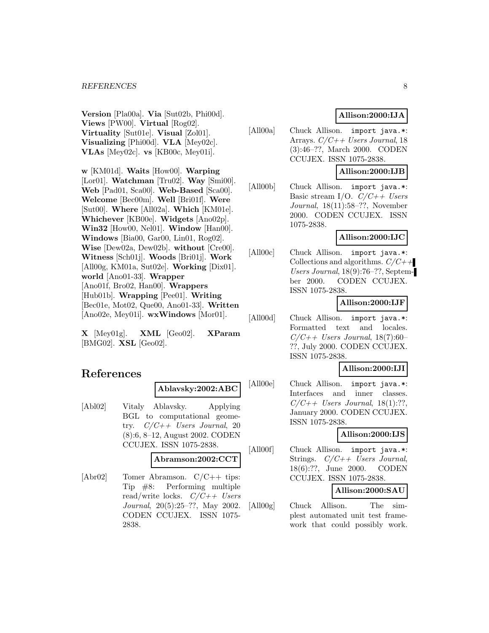**Version** [Pla00a]. **Via** [Sut02b, Phi00d]. **Views** [PW00]. **Virtual** [Rog02]. **Virtuality** [Sut01e]. **Visual** [Zol01]. **Visualizing** [Phi00d]. **VLA** [Mey02c]. **VLAs** [Mey02c]. **vs** [KB00c, Mey01i].

**w** [KM01d]. **Waits** [How00]. **Warping** [Lor01]. **Watchman** [Tru02]. **Way** [Smi00]. **Web** [Pad01, Sca00]. **Web-Based** [Sca00]. **Welcome** [Bec00m]. **Well** [Bri01f]. **Were** [Sut00]. **Where** [All02a]. **Which** [KM01e]. **Whichever** [KB00e]. **Widgets** [Ano02p]. **Win32** [How00, Nel01]. **Window** [Han00]. **Windows** [Bia00, Gar00, Lin01, Rog02]. **Wise** [Dew02a, Dew02b]. **without** [Cre00]. **Witness** [Sch01j]. **Woods** [Bri01j]. **Work** [All00g, KM01a, Sut02e]. **Working** [Dix01]. **world** [Ano01-33]. **Wrapper** [Ano01f, Bro02, Han00]. **Wrappers** [Hub01b]. **Wrapping** [Pee01]. **Writing** [Bec01e, Mot02, Que00, Ano01-33]. **Written** [Ano02e, Mey01i]. **wxWindows** [Mor01].

**X** [Mey01g]. **XML** [Geo02]. **XParam** [BMG02]. **XSL** [Geo02].

## **References**

**Ablavsky:2002:ABC**

[Abl02] Vitaly Ablavsky. Applying BGL to computational geometry.  $C/C++$  Users Journal, 20 (8):6, 8–12, August 2002. CODEN CCUJEX. ISSN 1075-2838.

#### **Abramson:2002:CCT**

[Abr02] Tomer Abramson. C/C++ tips: Tip #8: Performing multiple read/write locks.  $C/C++$  Users Journal, 20(5):25–??, May 2002. CODEN CCUJEX. ISSN 1075- 2838.

## **Allison:2000:IJA**

[All00a] Chuck Allison. import java.\*: Arrays. C/C++ Users Journal, 18 (3):46–??, March 2000. CODEN CCUJEX. ISSN 1075-2838.

## **Allison:2000:IJB**

[All00b] Chuck Allison. import java.\*: Basic stream I/O.  $C/C++$  Users Journal, 18(11):58–??, November 2000. CODEN CCUJEX. ISSN 1075-2838.

### **Allison:2000:IJC**

[All00c] Chuck Allison. import java.\*: Collections and algorithms.  $C/C++$ Users Journal, 18(9):76–??, September 2000. CODEN CCUJEX. ISSN 1075-2838.

## **Allison:2000:IJF**

[All00d] Chuck Allison. import java.\*: Formatted text and locales.  $C/C++$  Users Journal, 18(7):60– ??, July 2000. CODEN CCUJEX. ISSN 1075-2838.

### **Allison:2000:IJI**

[All00e] Chuck Allison. import java.\*: Interfaces and inner classes.  $C/C++$  Users Journal, 18(1):??, January 2000. CODEN CCUJEX. ISSN 1075-2838.

## **Allison:2000:IJS**

[All00f] Chuck Allison. import java.\*: Strings.  $C/C++$  Users Journal, 18(6):??, June 2000. CODEN CCUJEX. ISSN 1075-2838.

## **Allison:2000:SAU**

[All00g] Chuck Allison. The simplest automated unit test framework that could possibly work.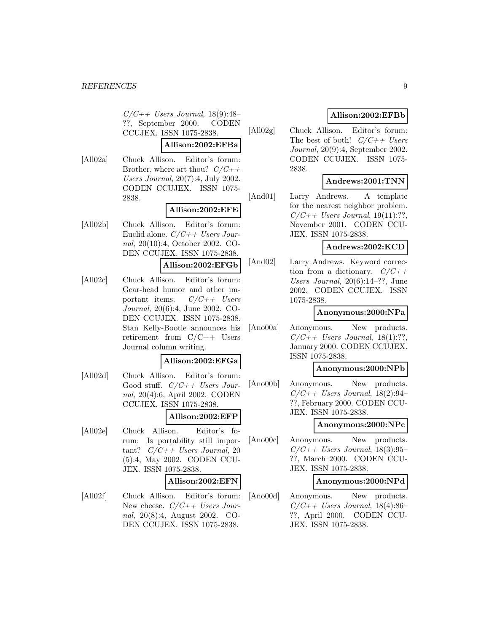$C/C++$  Users Journal, 18(9):48– ??, September 2000. CODEN CCUJEX. ISSN 1075-2838.

#### **Allison:2002:EFBa**

[All02a] Chuck Allison. Editor's forum: Brother, where art thou?  $C/C++$ Users Journal, 20(7):4, July 2002. CODEN CCUJEX. ISSN 1075- 2838.

#### **Allison:2002:EFE**

[All02b] Chuck Allison. Editor's forum: Euclid alone.  $C/C++$  Users Journal, 20(10):4, October 2002. CO-DEN CCUJEX. ISSN 1075-2838.

#### **Allison:2002:EFGb**

[All02c] Chuck Allison. Editor's forum: Gear-head humor and other important items.  $C/C++$  Users Journal, 20(6):4, June 2002. CO-DEN CCUJEX. ISSN 1075-2838. Stan Kelly-Bootle announces his retirement from C/C++ Users Journal column writing.

#### **Allison:2002:EFGa**

[All02d] Chuck Allison. Editor's forum: Good stuff.  $C/C++$  Users Journal, 20(4):6, April 2002. CODEN CCUJEX. ISSN 1075-2838.

## **Allison:2002:EFP**

[All02e] Chuck Allison. Editor's forum: Is portability still important?  $C/C++$  Users Journal, 20 (5):4, May 2002. CODEN CCU-JEX. ISSN 1075-2838.

#### **Allison:2002:EFN**

[All02f] Chuck Allison. Editor's forum: New cheese.  $C/C++$  Users Journal, 20(8):4, August 2002. CO-DEN CCUJEX. ISSN 1075-2838.

## **Allison:2002:EFBb**

[All02g] Chuck Allison. Editor's forum: The best of both!  $C/C++$  Users Journal, 20(9):4, September 2002. CODEN CCUJEX. ISSN 1075- 2838.

#### **Andrews:2001:TNN**

[And01] Larry Andrews. A template for the nearest neighbor problem.  $C/C++$  Users Journal, 19(11):??, November 2001. CODEN CCU-JEX. ISSN 1075-2838.

### **Andrews:2002:KCD**

[And02] Larry Andrews. Keyword correction from a dictionary.  $C/C++$ Users Journal,  $20(6):14-??$ , June 2002. CODEN CCUJEX. ISSN 1075-2838.

### **Anonymous:2000:NPa**

[Ano00a] Anonymous. New products.  $C/C++$  Users Journal, 18(1):??, January 2000. CODEN CCUJEX. ISSN 1075-2838.

### **Anonymous:2000:NPb**

[Ano00b] Anonymous. New products.  $C/C++$  Users Journal, 18(2):94– ??, February 2000. CODEN CCU-JEX. ISSN 1075-2838.

#### **Anonymous:2000:NPc**

[Ano00c] Anonymous. New products.  $C/C++$  Users Journal, 18(3):95– ??, March 2000. CODEN CCU-JEX. ISSN 1075-2838.

### **Anonymous:2000:NPd**

[Ano00d] Anonymous. New products.  $C/C++$  Users Journal, 18(4):86– ??, April 2000. CODEN CCU-JEX. ISSN 1075-2838.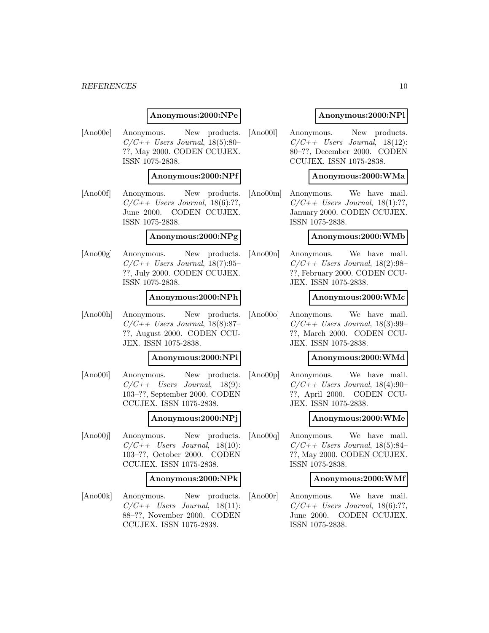#### **Anonymous:2000:NPe**

[Ano00e] Anonymous. New products.  $C/C++$  Users Journal, 18(5):80– ??, May 2000. CODEN CCUJEX. ISSN 1075-2838.

#### **Anonymous:2000:NPf**

[Ano00f] Anonymous. New products.  $C/C++$  Users Journal, 18(6):??, June 2000. CODEN CCUJEX. ISSN 1075-2838.

### **Anonymous:2000:NPg**

[Ano00g] Anonymous. New products.  $C/C++$  Users Journal, 18(7):95– ??, July 2000. CODEN CCUJEX. ISSN 1075-2838.

#### **Anonymous:2000:NPh**

[Ano00h] Anonymous. New products.  $C/C++$  Users Journal, 18(8):87– ??, August 2000. CODEN CCU-JEX. ISSN 1075-2838.

#### **Anonymous:2000:NPi**

[Ano00i] Anonymous. New products.  $C/C++$  Users Journal, 18(9): 103–??, September 2000. CODEN CCUJEX. ISSN 1075-2838.

#### **Anonymous:2000:NPj**

[Ano00j] Anonymous. New products.  $C/C++$  Users Journal, 18(10): 103–??, October 2000. CODEN CCUJEX. ISSN 1075-2838.

#### **Anonymous:2000:NPk**

[Ano00k] Anonymous. New products.  $C/C++$  Users Journal, 18(11): 88–??, November 2000. CODEN CCUJEX. ISSN 1075-2838.

### **Anonymous:2000:NPl**

[Ano00l] Anonymous. New products.  $C/C++$  Users Journal, 18(12): 80–??, December 2000. CODEN CCUJEX. ISSN 1075-2838.

#### **Anonymous:2000:WMa**

[Ano00m] Anonymous. We have mail.  $C/C++$  Users Journal, 18(1):??, January 2000. CODEN CCUJEX. ISSN 1075-2838.

## **Anonymous:2000:WMb**

[Ano00n] Anonymous. We have mail.  $C/C++$  Users Journal, 18(2):98– ??, February 2000. CODEN CCU-JEX. ISSN 1075-2838.

#### **Anonymous:2000:WMc**

[Ano00o] Anonymous. We have mail.  $C/C++$  Users Journal, 18(3):99– ??, March 2000. CODEN CCU-JEX. ISSN 1075-2838.

### **Anonymous:2000:WMd**

[Ano00p] Anonymous. We have mail.  $C/C++$  Users Journal, 18(4):90-??, April 2000. CODEN CCU-JEX. ISSN 1075-2838.

#### **Anonymous:2000:WMe**

[Ano00q] Anonymous. We have mail.  $C/C++$  Users Journal, 18(5):84– ??, May 2000. CODEN CCUJEX. ISSN 1075-2838.

#### **Anonymous:2000:WMf**

[Ano00r] Anonymous. We have mail.  $C/C++$  Users Journal, 18(6):??, June 2000. CODEN CCUJEX. ISSN 1075-2838.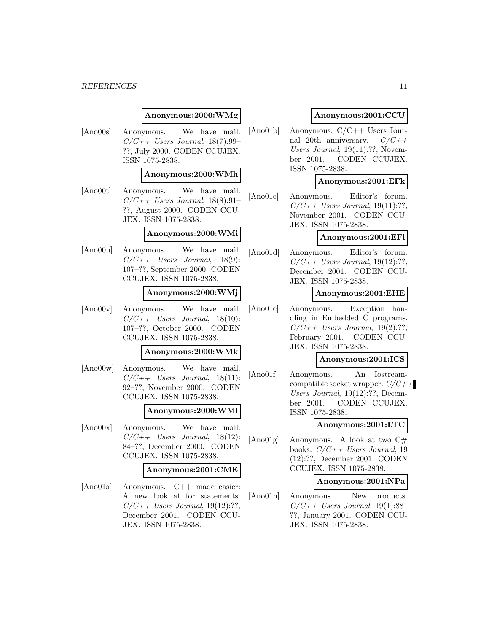#### **Anonymous:2000:WMg**

[Ano00s] Anonymous. We have mail.  $C/C++$  Users Journal, 18(7):99-??, July 2000. CODEN CCUJEX. ISSN 1075-2838.

#### **Anonymous:2000:WMh**

[Ano00t] Anonymous. We have mail.  $C/C++$  Users Journal, 18(8):91– ??, August 2000. CODEN CCU-JEX. ISSN 1075-2838.

#### **Anonymous:2000:WMi**

[Ano00u] Anonymous. We have mail.  $C/C++$  Users Journal, 18(9): 107–??, September 2000. CODEN CCUJEX. ISSN 1075-2838.

#### **Anonymous:2000:WMj**

[Ano00v] Anonymous. We have mail.  $C/C++$  Users Journal, 18(10): 107–??, October 2000. CODEN CCUJEX. ISSN 1075-2838.

#### **Anonymous:2000:WMk**

[Ano00w] Anonymous. We have mail.  $C/C++$  Users Journal, 18(11): 92–??, November 2000. CODEN CCUJEX. ISSN 1075-2838.

#### **Anonymous:2000:WMl**

[Ano00x] Anonymous. We have mail.  $C/C++$  Users Journal, 18(12): 84–??, December 2000. CODEN CCUJEX. ISSN 1075-2838.

#### **Anonymous:2001:CME**

[Ano01a] Anonymous. C++ made easier: A new look at for statements.  $C/C++$  Users Journal, 19(12):??, December 2001. CODEN CCU-JEX. ISSN 1075-2838.

### **Anonymous:2001:CCU**

[Ano01b] Anonymous. C/C++ Users Journal 20th anniversary.  $C/C++$ Users Journal, 19(11):??, November 2001. CODEN CCUJEX. ISSN 1075-2838.

#### **Anonymous:2001:EFk**

[Ano01c] Anonymous. Editor's forum.  $C/C++$  Users Journal, 19(11):??, November 2001. CODEN CCU-JEX. ISSN 1075-2838.

### **Anonymous:2001:EFl**

[Ano01d] Anonymous. Editor's forum.  $C/C++$  Users Journal, 19(12):??, December 2001. CODEN CCU-JEX. ISSN 1075-2838.

#### **Anonymous:2001:EHE**

[Ano01e] Anonymous. Exception handling in Embedded C programs.  $C/C++$  Users Journal, 19(2):??, February 2001. CODEN CCU-JEX. ISSN 1075-2838.

### **Anonymous:2001:ICS**

[Ano01f] Anonymous. An Iostreamcompatible socket wrapper.  $C/C++$ Users Journal, 19(12):??, December 2001. CODEN CCUJEX. ISSN 1075-2838.

#### **Anonymous:2001:LTC**

[Ano01g] Anonymous. A look at two  $C#$ books.  $C/C++$  Users Journal, 19 (12):??, December 2001. CODEN CCUJEX. ISSN 1075-2838.

### **Anonymous:2001:NPa**

[Ano01h] Anonymous. New products.  $C/C++$  Users Journal, 19(1):88– ??, January 2001. CODEN CCU-JEX. ISSN 1075-2838.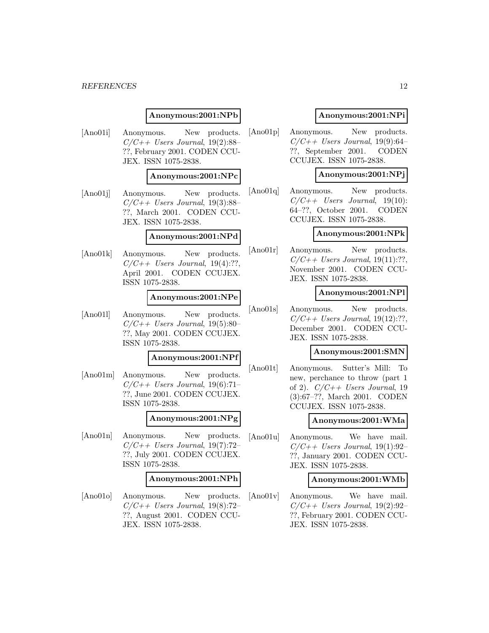#### **Anonymous:2001:NPb**

[Ano01i] Anonymous. New products.  $C/C++$  Users Journal, 19(2):88– ??, February 2001. CODEN CCU-JEX. ISSN 1075-2838.

#### **Anonymous:2001:NPc**

[Ano01j] Anonymous. New products.  $C/C++$  Users Journal, 19(3):88– ??, March 2001. CODEN CCU-JEX. ISSN 1075-2838.

#### **Anonymous:2001:NPd**

[Ano01k] Anonymous. New products.  $C/C++$  Users Journal, 19(4):??, April 2001. CODEN CCUJEX. ISSN 1075-2838.

#### **Anonymous:2001:NPe**

[Ano01l] Anonymous. New products.  $C/C++$  Users Journal, 19(5):80– ??, May 2001. CODEN CCUJEX. ISSN 1075-2838.

### **Anonymous:2001:NPf**

[Ano01m] Anonymous. New products.  $C/C++$  Users Journal, 19(6):71-??, June 2001. CODEN CCUJEX. ISSN 1075-2838.

#### **Anonymous:2001:NPg**

[Ano01n] Anonymous. New products.  $C/C++$  Users Journal, 19(7):72-??, July 2001. CODEN CCUJEX. ISSN 1075-2838.

#### **Anonymous:2001:NPh**

[Ano01o] Anonymous. New products.  $C/C++$  Users Journal, 19(8):72-??, August 2001. CODEN CCU-JEX. ISSN 1075-2838.

#### **Anonymous:2001:NPi**

[Ano01p] Anonymous. New products.  $C/C++$  Users Journal, 19(9):64– ??, September 2001. CODEN CCUJEX. ISSN 1075-2838.

### **Anonymous:2001:NPj**

[Ano01q] Anonymous. New products.  $C/C++$  Users Journal, 19(10): 64–??, October 2001. CODEN CCUJEX. ISSN 1075-2838.

#### **Anonymous:2001:NPk**

[Ano01r] Anonymous. New products.  $C/C++$  Users Journal, 19(11):??, November 2001. CODEN CCU-JEX. ISSN 1075-2838.

#### **Anonymous:2001:NPl**

[Ano01s] Anonymous. New products.  $C/C++$  Users Journal, 19(12):??, December 2001. CODEN CCU-JEX. ISSN 1075-2838.

#### **Anonymous:2001:SMN**

[Ano01t] Anonymous. Sutter's Mill: To new, perchance to throw (part 1 of 2).  $C/C++$  Users Journal, 19 (3):67–??, March 2001. CODEN CCUJEX. ISSN 1075-2838.

#### **Anonymous:2001:WMa**

[Ano01u] Anonymous. We have mail.  $C/C++$  Users Journal, 19(1):92-??, January 2001. CODEN CCU-JEX. ISSN 1075-2838.

#### **Anonymous:2001:WMb**

[Ano01v] Anonymous. We have mail.  $C/C++$  Users Journal, 19(2):92-??, February 2001. CODEN CCU-JEX. ISSN 1075-2838.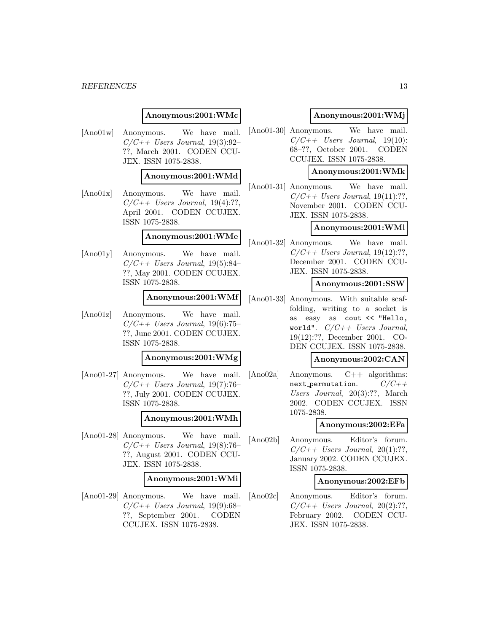#### **Anonymous:2001:WMc**

[Ano01w] Anonymous. We have mail.  $C/C++$  Users Journal, 19(3):92-??, March 2001. CODEN CCU-JEX. ISSN 1075-2838.

#### **Anonymous:2001:WMd**

[Ano01x] Anonymous. We have mail.  $C/C++$  Users Journal, 19(4):??, April 2001. CODEN CCUJEX. ISSN 1075-2838.

#### **Anonymous:2001:WMe**

[Ano01y] Anonymous. We have mail.  $C/C++$  Users Journal, 19(5):84– ??, May 2001. CODEN CCUJEX. ISSN 1075-2838.

#### **Anonymous:2001:WMf**

[Ano01z] Anonymous. We have mail.  $C/C++$  Users Journal, 19(6):75– ??, June 2001. CODEN CCUJEX. ISSN 1075-2838.

## **Anonymous:2001:WMg**

[Ano01-27] Anonymous. We have mail.  $C/C++$  Users Journal, 19(7):76-??, July 2001. CODEN CCUJEX. ISSN 1075-2838.

#### **Anonymous:2001:WMh**

[Ano01-28] Anonymous. We have mail.  $C/C++$  Users Journal, 19(8):76– ??, August 2001. CODEN CCU-JEX. ISSN 1075-2838.

#### **Anonymous:2001:WMi**

[Ano01-29] Anonymous. We have mail.  $C/C++$  Users Journal, 19(9):68-??, September 2001. CODEN CCUJEX. ISSN 1075-2838.

### **Anonymous:2001:WMj**

[Ano01-30] Anonymous. We have mail.  $C/C++$  Users Journal, 19(10): 68–??, October 2001. CODEN CCUJEX. ISSN 1075-2838.

## **Anonymous:2001:WMk**

[Ano01-31] Anonymous. We have mail.  $C/C++$  Users Journal, 19(11):??, November 2001. CODEN CCU-JEX. ISSN 1075-2838.

### **Anonymous:2001:WMl**

[Ano01-32] Anonymous. We have mail.  $C/C++$  Users Journal, 19(12):??. December 2001. CODEN CCU-JEX. ISSN 1075-2838.

#### **Anonymous:2001:SSW**

[Ano01-33] Anonymous. With suitable scaffolding, writing to a socket is as easy as cout << "Hello, world".  $C/C++$  Users Journal, 19(12):??, December 2001. CO-DEN CCUJEX. ISSN 1075-2838.

### **Anonymous:2002:CAN**

[Ano02a] Anonymous. C++ algorithms: next permutation.  $C/C++$ Users Journal, 20(3):??, March 2002. CODEN CCUJEX. ISSN 1075-2838.

#### **Anonymous:2002:EFa**

[Ano02b] Anonymous. Editor's forum.  $C/C++$  Users Journal, 20(1):??, January 2002. CODEN CCUJEX. ISSN 1075-2838.

#### **Anonymous:2002:EFb**

[Ano02c] Anonymous. Editor's forum.  $C/C++$  Users Journal, 20(2):??, February 2002. CODEN CCU-JEX. ISSN 1075-2838.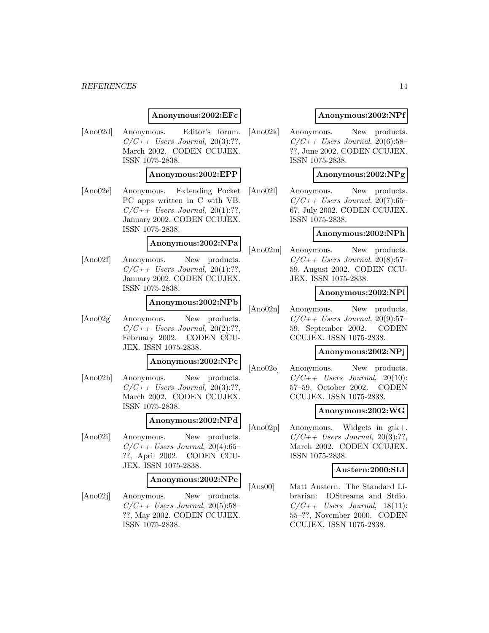#### **Anonymous:2002:EFc**

[Ano02d] Anonymous. Editor's forum.  $C/C++$  Users Journal, 20(3):??, March 2002. CODEN CCUJEX. ISSN 1075-2838.

#### **Anonymous:2002:EPP**

[Ano02e] Anonymous. Extending Pocket PC apps written in C with VB.  $C/C++$  Users Journal, 20(1):??, January 2002. CODEN CCUJEX. ISSN 1075-2838.

#### **Anonymous:2002:NPa**

[Ano02f] Anonymous. New products.  $C/C++$  Users Journal, 20(1):??, January 2002. CODEN CCUJEX. ISSN 1075-2838.

#### **Anonymous:2002:NPb**

[Ano02g] Anonymous. New products.  $C/C++$  Users Journal, 20(2):??, February 2002. CODEN CCU-JEX. ISSN 1075-2838.

#### **Anonymous:2002:NPc**

[Ano02h] Anonymous. New products.  $C/C++$  Users Journal, 20(3):??, March 2002. CODEN CCUJEX. ISSN 1075-2838.

#### **Anonymous:2002:NPd**

[Ano02i] Anonymous. New products.  $C/C++$  Users Journal, 20(4):65-??, April 2002. CODEN CCU-JEX. ISSN 1075-2838.

#### **Anonymous:2002:NPe**

[Ano02j] Anonymous. New products.  $C/C++$  Users Journal, 20(5):58-??, May 2002. CODEN CCUJEX. ISSN 1075-2838.

### **Anonymous:2002:NPf**

[Ano02k] Anonymous. New products.  $C/C++$  Users Journal, 20(6):58-??, June 2002. CODEN CCUJEX. ISSN 1075-2838.

#### **Anonymous:2002:NPg**

[Ano02l] Anonymous. New products.  $C/C++$  Users Journal, 20(7):65– 67, July 2002. CODEN CCUJEX. ISSN 1075-2838.

#### **Anonymous:2002:NPh**

[Ano02m] Anonymous. New products.  $C/C++$  Users Journal, 20(8):57– 59, August 2002. CODEN CCU-JEX. ISSN 1075-2838.

#### **Anonymous:2002:NPi**

[Ano02n] Anonymous. New products.  $C/C++$  Users Journal, 20(9):57-59, September 2002. CODEN CCUJEX. ISSN 1075-2838.

#### **Anonymous:2002:NPj**

[Ano02o] Anonymous. New products.  $C/C++$  Users Journal, 20(10): 57–59, October 2002. CODEN CCUJEX. ISSN 1075-2838.

#### **Anonymous:2002:WG**

[Ano02p] Anonymous. Widgets in gtk+.  $C/C++$  Users Journal, 20(3):??, March 2002. CODEN CCUJEX. ISSN 1075-2838.

#### **Austern:2000:SLI**

[Aus00] Matt Austern. The Standard Librarian: IOStreams and Stdio.  $C/C++$  Users Journal, 18(11): 55–??, November 2000. CODEN CCUJEX. ISSN 1075-2838.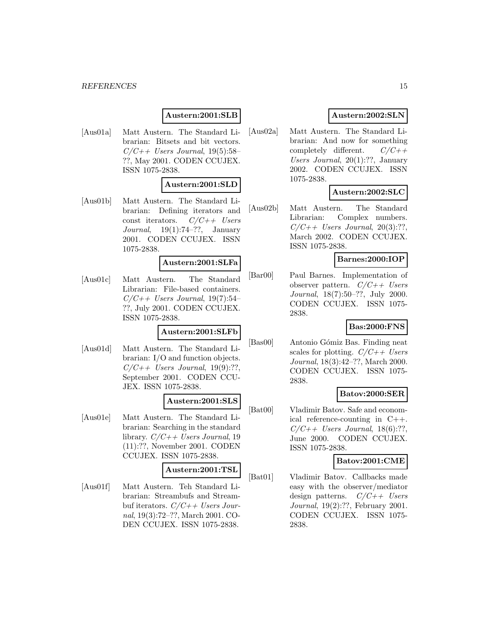### **Austern:2001:SLB**

[Aus01a] Matt Austern. The Standard Librarian: Bitsets and bit vectors.  $C/C++$  Users Journal, 19(5):58– ??, May 2001. CODEN CCUJEX. ISSN 1075-2838.

#### **Austern:2001:SLD**

[Aus01b] Matt Austern. The Standard Librarian: Defining iterators and const iterators.  $C/C++$  Users Journal,  $19(1):74-??$ , January 2001. CODEN CCUJEX. ISSN 1075-2838.

#### **Austern:2001:SLFa**

[Aus01c] Matt Austern. The Standard Librarian: File-based containers.  $C/C++$  Users Journal, 19(7):54-??, July 2001. CODEN CCUJEX. ISSN 1075-2838.

## **Austern:2001:SLFb**

[Aus01d] Matt Austern. The Standard Librarian: I/O and function objects.  $C/C++$  Users Journal, 19(9):??, September 2001. CODEN CCU-JEX. ISSN 1075-2838.

#### **Austern:2001:SLS**

[Aus01e] Matt Austern. The Standard Librarian: Searching in the standard library.  $C/C++$  Users Journal, 19 (11):??, November 2001. CODEN CCUJEX. ISSN 1075-2838.

#### **Austern:2001:TSL**

[Aus01f] Matt Austern. Teh Standard Librarian: Streambufs and Streambuf iterators.  $C/C++$  Users Journal, 19(3):72–??, March 2001. CO-DEN CCUJEX. ISSN 1075-2838.

## **Austern:2002:SLN**

[Aus02a] Matt Austern. The Standard Librarian: And now for something completely different.  $C/C++$ Users Journal, 20(1):??, January 2002. CODEN CCUJEX. ISSN 1075-2838.

## **Austern:2002:SLC**

[Aus02b] Matt Austern. The Standard Librarian: Complex numbers.  $C/C++$  Users Journal, 20(3):??, March 2002. CODEN CCUJEX. ISSN 1075-2838.

#### **Barnes:2000:IOP**

[Bar00] Paul Barnes. Implementation of observer pattern.  $C/C++$  Users Journal, 18(7):50–??, July 2000. CODEN CCUJEX. ISSN 1075- 2838.

### **Bas:2000:FNS**

[Bas00] Antonio Gómiz Bas. Finding neat scales for plotting.  $C/C++$  Users Journal, 18(3):42–??, March 2000. CODEN CCUJEX. ISSN 1075- 2838.

#### **Batov:2000:SER**

[Bat00] Vladimir Batov. Safe and economical reference-counting in C++.  $C/C++$  Users Journal, 18(6):??, June 2000. CODEN CCUJEX. ISSN 1075-2838.

#### **Batov:2001:CME**

[Bat01] Vladimir Batov. Callbacks made easy with the observer/mediator design patterns.  $C/C++$  Users Journal, 19(2):??, February 2001. CODEN CCUJEX. ISSN 1075- 2838.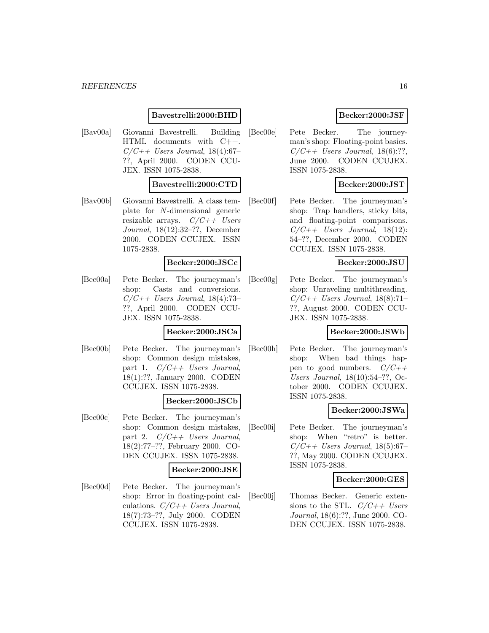## **Bavestrelli:2000:BHD**

[Bav00a] Giovanni Bavestrelli. Building HTML documents with C++.  $C/C++$  Users Journal, 18(4):67– ??, April 2000. CODEN CCU-JEX. ISSN 1075-2838.

### **Bavestrelli:2000:CTD**

[Bav00b] Giovanni Bavestrelli. A class template for N-dimensional generic resizable arrays.  $C/C++$  Users Journal, 18(12):32–??, December 2000. CODEN CCUJEX. ISSN 1075-2838.

#### **Becker:2000:JSCc**

[Bec00a] Pete Becker. The journeyman's shop: Casts and conversions.  $C/C++$  Users Journal, 18(4):73-??, April 2000. CODEN CCU-JEX. ISSN 1075-2838.

## **Becker:2000:JSCa**

[Bec00b] Pete Becker. The journeyman's shop: Common design mistakes, part 1.  $C/C++$  Users Journal, 18(1):??, January 2000. CODEN CCUJEX. ISSN 1075-2838.

#### **Becker:2000:JSCb**

[Bec00c] Pete Becker. The journeyman's shop: Common design mistakes, part 2.  $C/C++$  Users Journal, 18(2):77–??, February 2000. CO-DEN CCUJEX. ISSN 1075-2838.

#### **Becker:2000:JSE**

[Bec00d] Pete Becker. The journeyman's shop: Error in floating-point calculations.  $C/C++$  Users Journal, 18(7):73–??, July 2000. CODEN CCUJEX. ISSN 1075-2838.

## **Becker:2000:JSF**

[Bec00e] Pete Becker. The journeyman's shop: Floating-point basics.  $C/C++$  Users Journal, 18(6):??, June 2000. CODEN CCUJEX. ISSN 1075-2838.

## **Becker:2000:JST**

[Bec00f] Pete Becker. The journeyman's shop: Trap handlers, sticky bits, and floating-point comparisons.  $C/C++$  Users Journal, 18(12): 54–??, December 2000. CODEN CCUJEX. ISSN 1075-2838.

#### **Becker:2000:JSU**

[Bec00g] Pete Becker. The journeyman's shop: Unraveling multithreading.  $C/C++$  Users Journal, 18(8):71– ??, August 2000. CODEN CCU-JEX. ISSN 1075-2838.

#### **Becker:2000:JSWb**

[Bec00h] Pete Becker. The journeyman's shop: When bad things happen to good numbers.  $C/C++$ Users Journal, 18(10):54–??, October 2000. CODEN CCUJEX. ISSN 1075-2838.

#### **Becker:2000:JSWa**

[Bec00i] Pete Becker. The journeyman's shop: When "retro" is better.  $C/C++$  Users Journal, 18(5):67– ??, May 2000. CODEN CCUJEX. ISSN 1075-2838.

#### **Becker:2000:GES**

[Bec00j] Thomas Becker. Generic extensions to the STL.  $C/C++$  Users Journal, 18(6):??, June 2000. CO-DEN CCUJEX. ISSN 1075-2838.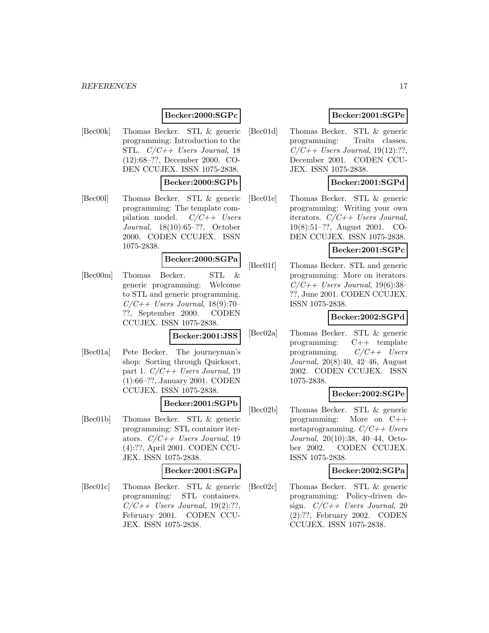#### **Becker:2000:SGPc**

[Bec00k] Thomas Becker. STL & generic programming: Introduction to the STL. C/C++ Users Journal, 18 (12):68–??, December 2000. CO-DEN CCUJEX. ISSN 1075-2838.

#### **Becker:2000:SGPb**

[Bec00l] Thomas Becker. STL & generic programming: The template compilation model.  $C/C++$  Users Journal, 18(10):65–??, October 2000. CODEN CCUJEX. ISSN 1075-2838.

#### **Becker:2000:SGPa**

[Bec00m] Thomas Becker. STL & generic programming: Welcome to STL and generic programming.  $C/C++$  Users Journal, 18(9):70-??, September 2000. CODEN CCUJEX. ISSN 1075-2838.

### **Becker:2001:JSS**

[Bec01a] Pete Becker. The journeyman's shop: Sorting through Quicksort, part 1. C/C++ Users Journal, 19 (1):66–??, January 2001. CODEN CCUJEX. ISSN 1075-2838.

#### **Becker:2001:SGPb**

[Bec01b] Thomas Becker. STL & generic programming: STL container iterators.  $C/C++$  Users Journal, 19 (4):??, April 2001. CODEN CCU-JEX. ISSN 1075-2838.

#### **Becker:2001:SGPa**

[Bec01c] Thomas Becker. STL & generic programming: STL containers.  $C/C++$  Users Journal, 19(2):??, February 2001. CODEN CCU-JEX. ISSN 1075-2838.

## **Becker:2001:SGPe**

[Bec01d] Thomas Becker. STL & generic programming: Traits classes.  $C/C++$  Users Journal, 19(12):??, December 2001. CODEN CCU-JEX. ISSN 1075-2838.

## **Becker:2001:SGPd**

[Bec01e] Thomas Becker. STL & generic programming: Writing your own iterators.  $C/C++$  Users Journal, 19(8):51–??, August 2001. CO-DEN CCUJEX. ISSN 1075-2838.

## **Becker:2001:SGPc**

[Bec01f] Thomas Becker. STL and generic programming: More on iterators.  $C/C++$  Users Journal, 19(6):38-??, June 2001. CODEN CCUJEX. ISSN 1075-2838.

## **Becker:2002:SGPd**

[Bec02a] Thomas Becker. STL & generic programming: C++ template programming.  $C/C++$  Users Journal, 20(8):40, 42–46, August 2002. CODEN CCUJEX. ISSN 1075-2838.

#### **Becker:2002:SGPe**

[Bec02b] Thomas Becker. STL & generic programming: More on C++ metaprogramming.  $C/C++Users$ Journal, 20(10):38, 40–44, October 2002. CODEN CCUJEX. ISSN 1075-2838.

#### **Becker:2002:SGPa**

[Bec02c] Thomas Becker. STL & generic programming: Policy-driven design.  $C/C++$  Users Journal, 20 (2):??, February 2002. CODEN CCUJEX. ISSN 1075-2838.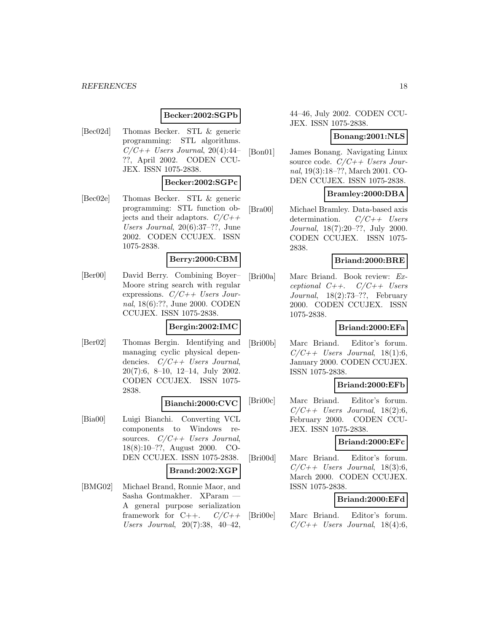#### **Becker:2002:SGPb**

[Bec02d] Thomas Becker. STL & generic programming: STL algorithms.  $C/C++$  Users Journal, 20(4):44-??, April 2002. CODEN CCU-JEX. ISSN 1075-2838.

### **Becker:2002:SGPc**

[Bec02e] Thomas Becker. STL & generic programming: STL function objects and their adaptors.  $C/C++$ Users Journal, 20(6):37–??, June 2002. CODEN CCUJEX. ISSN 1075-2838.

#### **Berry:2000:CBM**

[Ber00] David Berry. Combining Boyer– Moore string search with regular expressions. C/C++ Users Journal, 18(6):??, June 2000. CODEN CCUJEX. ISSN 1075-2838.

#### **Bergin:2002:IMC**

[Ber02] Thomas Bergin. Identifying and managing cyclic physical dependencies.  $C/C++$  Users Journal, 20(7):6, 8–10, 12–14, July 2002. CODEN CCUJEX. ISSN 1075- 2838.

#### **Bianchi:2000:CVC**

[Bia00] Luigi Bianchi. Converting VCL components to Windows resources.  $C/C++$  Users Journal, 18(8):10–??, August 2000. CO-DEN CCUJEX. ISSN 1075-2838.

#### **Brand:2002:XGP**

[BMG02] Michael Brand, Ronnie Maor, and Sasha Gontmakher. XParam — A general purpose serialization framework for C++.  $C/C++$ Users Journal, 20(7):38, 40–42,

44–46, July 2002. CODEN CCU-JEX. ISSN 1075-2838.

#### **Bonang:2001:NLS**

[Bon01] James Bonang. Navigating Linux source code.  $C/C++$  Users Journal, 19(3):18–??, March 2001. CO-DEN CCUJEX. ISSN 1075-2838.

### **Bramley:2000:DBA**

[Bra00] Michael Bramley. Data-based axis determination.  $C/C++$  Users Journal, 18(7):20–??, July 2000. CODEN CCUJEX. ISSN 1075- 2838.

#### **Briand:2000:BRE**

[Bri00a] Marc Briand. Book review: Exceptional  $C++$ .  $C/C++$  Users Journal, 18(2):73–??, February 2000. CODEN CCUJEX. ISSN 1075-2838.

#### **Briand:2000:EFa**

[Bri00b] Marc Briand. Editor's forum.  $C/C++$  Users Journal, 18(1):6, January 2000. CODEN CCUJEX. ISSN 1075-2838.

#### **Briand:2000:EFb**

[Bri00c] Marc Briand. Editor's forum.  $C/C++$  Users Journal, 18(2):6, February 2000. CODEN CCU-JEX. ISSN 1075-2838.

#### **Briand:2000:EFc**

[Bri00d] Marc Briand. Editor's forum.  $C/C++$  Users Journal, 18(3):6, March 2000. CODEN CCUJEX. ISSN 1075-2838.

#### **Briand:2000:EFd**

[Bri00e] Marc Briand. Editor's forum.  $C/C++$  Users Journal, 18(4):6,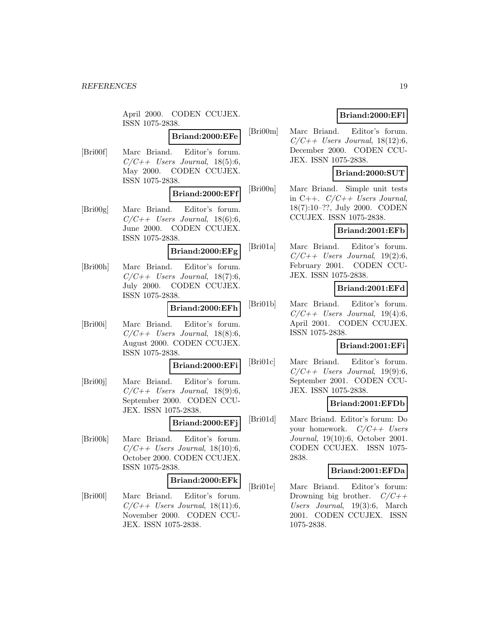April 2000. CODEN CCUJEX. ISSN 1075-2838.

## **Briand:2000:EFe**

[Bri00f] Marc Briand. Editor's forum.  $C/C++$  Users Journal, 18(5):6, May 2000. CODEN CCUJEX. ISSN 1075-2838.

### **Briand:2000:EFf**

[Bri00g] Marc Briand. Editor's forum.  $C/C++$  Users Journal, 18(6):6, June 2000. CODEN CCUJEX. ISSN 1075-2838.

#### **Briand:2000:EFg**

[Bri00h] Marc Briand. Editor's forum.  $C/C++$  Users Journal, 18(7):6,<br>July 2000. CODEN CCUJEX. CODEN CCUJEX. ISSN 1075-2838.

## **Briand:2000:EFh**

[Bri00i] Marc Briand. Editor's forum.  $C/C++$  Users Journal, 18(8):6, August 2000. CODEN CCUJEX. ISSN 1075-2838.

## **Briand:2000:EFi**

[Bri00j] Marc Briand. Editor's forum.  $C/C++$  Users Journal, 18(9):6, September 2000. CODEN CCU-JEX. ISSN 1075-2838.

#### **Briand:2000:EFj**

[Bri00k] Marc Briand. Editor's forum.  $C/C++$  Users Journal, 18(10):6, October 2000. CODEN CCUJEX. ISSN 1075-2838.

#### **Briand:2000:EFk**

[Bri00l] Marc Briand. Editor's forum.  $C/C++$  Users Journal, 18(11):6, November 2000. CODEN CCU-JEX. ISSN 1075-2838.

## **Briand:2000:EFl**

[Bri00m] Marc Briand. Editor's forum.  $C/C++$  Users Journal, 18(12):6, December 2000. CODEN CCU-JEX. ISSN 1075-2838.

### **Briand:2000:SUT**

[Bri00n] Marc Briand. Simple unit tests in C++.  $C/C++$  Users Journal, 18(7):10–??, July 2000. CODEN CCUJEX. ISSN 1075-2838.

### **Briand:2001:EFb**

[Bri01a] Marc Briand. Editor's forum.  $C/C++$  Users Journal, 19(2):6, February 2001. CODEN CCU-JEX. ISSN 1075-2838.

## **Briand:2001:EFd**

[Bri01b] Marc Briand. Editor's forum.  $C/C++$  Users Journal, 19(4):6, April 2001. CODEN CCUJEX. ISSN 1075-2838.

#### **Briand:2001:EFi**

[Bri01c] Marc Briand. Editor's forum.  $C/C++$  Users Journal, 19(9):6, September 2001. CODEN CCU-JEX. ISSN 1075-2838.

#### **Briand:2001:EFDb**

[Bri01d] Marc Briand. Editor's forum: Do your homework.  $C/C++$  Users Journal, 19(10):6, October 2001. CODEN CCUJEX. ISSN 1075- 2838.

## **Briand:2001:EFDa**

[Bri01e] Marc Briand. Editor's forum: Drowning big brother.  $C/C++$ Users Journal, 19(3):6, March 2001. CODEN CCUJEX. ISSN 1075-2838.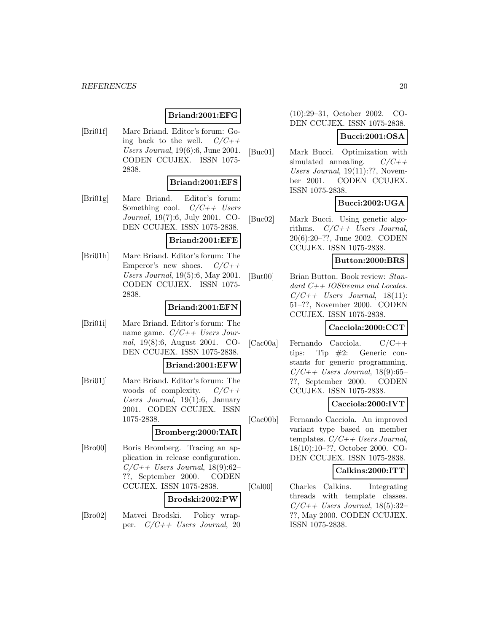## **Briand:2001:EFG**

[Bri01f] Marc Briand. Editor's forum: Going back to the well.  $C/C++$ Users Journal, 19(6):6, June 2001. CODEN CCUJEX. ISSN 1075- 2838.

### **Briand:2001:EFS**

[Bri01g] Marc Briand. Editor's forum: Something cool.  $C/C++$  Users Journal, 19(7):6, July 2001. CO-DEN CCUJEX. ISSN 1075-2838.

#### **Briand:2001:EFE**

[Bri01h] Marc Briand. Editor's forum: The Emperor's new shoes.  $C/C++$ Users Journal, 19(5):6, May 2001. CODEN CCUJEX. ISSN 1075- 2838.

#### **Briand:2001:EFN**

[Bri01i] Marc Briand. Editor's forum: The name game.  $C/C++$  Users Journal, 19(8):6, August 2001. CO-DEN CCUJEX. ISSN 1075-2838.

#### **Briand:2001:EFW**

[Bri01j] Marc Briand. Editor's forum: The woods of complexity.  $C/C++$ Users Journal, 19(1):6, January 2001. CODEN CCUJEX. ISSN 1075-2838.

#### **Bromberg:2000:TAR**

[Bro00] Boris Bromberg. Tracing an application in release configuration.  $C/C++$  Users Journal, 18(9):62– ??, September 2000. CODEN CCUJEX. ISSN 1075-2838.

### **Brodski:2002:PW**

[Bro02] Matvei Brodski. Policy wrapper. C/C++ Users Journal, 20

(10):29–31, October 2002. CO-DEN CCUJEX. ISSN 1075-2838.

### **Bucci:2001:OSA**

[Buc01] Mark Bucci. Optimization with simulated annealing.  $C/C++$ Users Journal, 19(11):??, November 2001. CODEN CCUJEX. ISSN 1075-2838.

### **Bucci:2002:UGA**

[Buc02] Mark Bucci. Using genetic algorithms.  $C/C++$  Users Journal, 20(6):20–??, June 2002. CODEN CCUJEX. ISSN 1075-2838.

#### **Button:2000:BRS**

[But00] Brian Button. Book review: Standard  $C++$  IOStreams and Locales.  $C/C++$  Users Journal, 18(11): 51–??, November 2000. CODEN CCUJEX. ISSN 1075-2838.

## **Cacciola:2000:CCT**

[Cac00a] Fernando Cacciola. C/C++ tips: Tip #2: Generic constants for generic programming.  $C/C++$  Users Journal, 18(9):65– ??, September 2000. CODEN CCUJEX. ISSN 1075-2838.

#### **Cacciola:2000:IVT**

[Cac00b] Fernando Cacciola. An improved variant type based on member templates.  $C/C++$  Users Journal, 18(10):10–??, October 2000. CO-DEN CCUJEX. ISSN 1075-2838.

#### **Calkins:2000:ITT**

[Cal00] Charles Calkins. Integrating threads with template classes.  $C/C++$  Users Journal, 18(5):32-??, May 2000. CODEN CCUJEX. ISSN 1075-2838.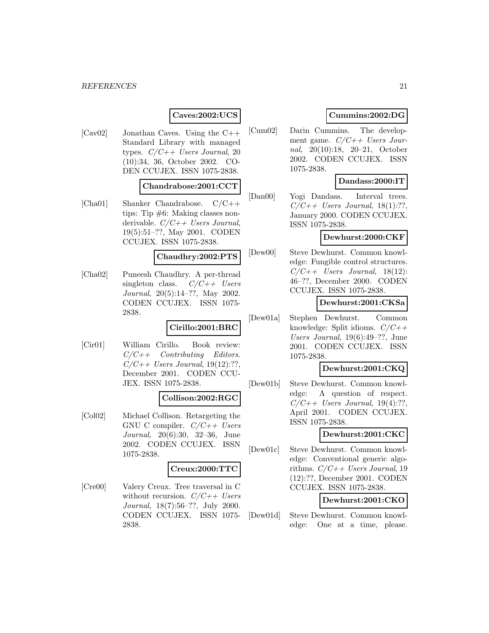### **Caves:2002:UCS**

[Cav02] Jonathan Caves. Using the  $C_{++}$ Standard Library with managed types.  $C/C++$  Users Journal, 20 (10):34, 36, October 2002. CO-DEN CCUJEX. ISSN 1075-2838.

### **Chandrabose:2001:CCT**

[Cha01] Shanker Chandrabose. C/C++ tips: Tip #6: Making classes nonderivable.  $C/C++$  Users Journal, 19(5):51–??, May 2001. CODEN CCUJEX. ISSN 1075-2838.

**Chaudhry:2002:PTS**

[Cha02] Puneesh Chaudhry. A per-thread singleton class.  $C/C++$  Users Journal, 20(5):14–??, May 2002. CODEN CCUJEX. ISSN 1075- 2838.

## **Cirillo:2001:BRC**

[Cir01] William Cirillo. Book review:  $C/C++$  Contributing Editors.  $C/C++$  Users Journal, 19(12):??, December 2001. CODEN CCU-JEX. ISSN 1075-2838.

## **Collison:2002:RGC**

[Col02] Michael Collison. Retargeting the GNU C compiler.  $C/C++$  Users Journal, 20(6):30, 32–36, June 2002. CODEN CCUJEX. ISSN 1075-2838.

#### **Creux:2000:TTC**

[Cre00] Valery Creux. Tree traversal in C without recursion.  $C/C++$  Users Journal, 18(7):56–??, July 2000. CODEN CCUJEX. ISSN 1075- 2838.

## **Cummins:2002:DG**

[Cum02] Darin Cummins. The development game.  $C/C++$  Users Journal, 20(10):18, 20–21, October 2002. CODEN CCUJEX. ISSN 1075-2838.

#### **Dandass:2000:IT**

[Dan00] Yogi Dandass. Interval trees.  $C/C++$  Users Journal, 18(1):??, January 2000. CODEN CCUJEX. ISSN 1075-2838.

### **Dewhurst:2000:CKF**

[Dew00] Steve Dewhurst. Common knowledge: Fungible control structures.  $C/C++$  Users Journal, 18(12): 46–??, December 2000. CODEN CCUJEX. ISSN 1075-2838.

#### **Dewhurst:2001:CKSa**

[Dew01a] Stephen Dewhurst. Common knowledge: Split idioms.  $C/C++$ Users Journal, 19(6):49–??, June 2001. CODEN CCUJEX. ISSN 1075-2838.

### **Dewhurst:2001:CKQ**

[Dew01b] Steve Dewhurst. Common knowledge: A question of respect.  $C/C++$  Users Journal, 19(4):??, April 2001. CODEN CCUJEX. ISSN 1075-2838.

#### **Dewhurst:2001:CKC**

[Dew01c] Steve Dewhurst. Common knowledge: Conventional generic algorithms.  $C/C++$  Users Journal, 19 (12):??, December 2001. CODEN CCUJEX. ISSN 1075-2838.

#### **Dewhurst:2001:CKO**

[Dew01d] Steve Dewhurst. Common knowledge: One at a time, please.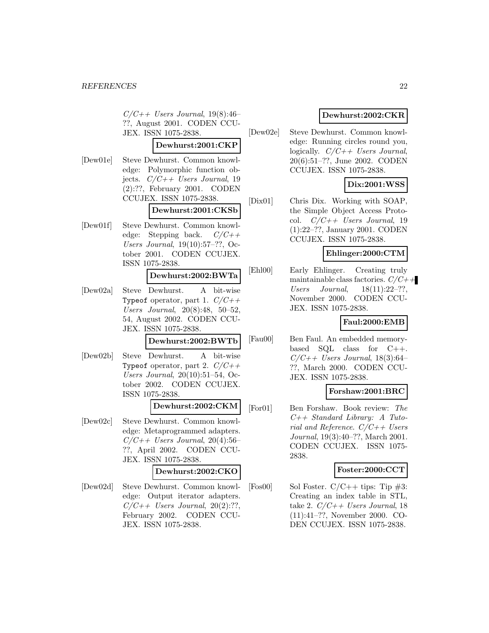$C/C++$  Users Journal, 19(8):46– ??, August 2001. CODEN CCU-JEX. ISSN 1075-2838.

## **Dewhurst:2001:CKP**

[Dew01e] Steve Dewhurst. Common knowledge: Polymorphic function objects.  $C/C++$  Users Journal, 19 (2):??, February 2001. CODEN CCUJEX. ISSN 1075-2838.

### **Dewhurst:2001:CKSb**

[Dew01f] Steve Dewhurst. Common knowledge: Stepping back.  $C/C++$ Users Journal, 19(10):57–??, October 2001. CODEN CCUJEX. ISSN 1075-2838.

#### **Dewhurst:2002:BWTa**

[Dew02a] Steve Dewhurst. A bit-wise Typeof operator, part 1.  $C/C++$ Users Journal, 20(8):48, 50–52, 54, August 2002. CODEN CCU-JEX. ISSN 1075-2838.

#### **Dewhurst:2002:BWTb**

[Dew02b] Steve Dewhurst. A bit-wise Typeof operator, part 2.  $C/C++$ Users Journal, 20(10):51–54, October 2002. CODEN CCUJEX. ISSN 1075-2838.

#### **Dewhurst:2002:CKM**

[Dew02c] Steve Dewhurst. Common knowledge: Metaprogrammed adapters.  $C/C++$  Users Journal, 20(4):56-??, April 2002. CODEN CCU-JEX. ISSN 1075-2838.

#### **Dewhurst:2002:CKO**

[Dew02d] Steve Dewhurst. Common knowledge: Output iterator adapters.  $C/C++$  Users Journal, 20(2):??, February 2002. CODEN CCU-JEX. ISSN 1075-2838.

## **Dewhurst:2002:CKR**

[Dew02e] Steve Dewhurst. Common knowledge: Running circles round you, logically.  $C/C++$  Users Journal, 20(6):51–??, June 2002. CODEN CCUJEX. ISSN 1075-2838.

## **Dix:2001:WSS**

[Dix01] Chris Dix. Working with SOAP, the Simple Object Access Protocol.  $C/C++$  Users Journal, 19 (1):22–??, January 2001. CODEN CCUJEX. ISSN 1075-2838.

### **Ehlinger:2000:CTM**

[Ehl00] Early Ehlinger. Creating truly maintainable class factories.  $C/C++$ Users Journal, 18(11):22–??, November 2000. CODEN CCU-JEX. ISSN 1075-2838.

#### **Faul:2000:EMB**

[Fau00] Ben Faul. An embedded memorybased SQL class for C++.  $C/C++$  Users Journal, 18(3):64– ??, March 2000. CODEN CCU-JEX. ISSN 1075-2838.

### **Forshaw:2001:BRC**

[For01] Ben Forshaw. Book review: The C++ Standard Library: A Tutorial and Reference.  $C/C++$  Users Journal, 19(3):40–??, March 2001. CODEN CCUJEX. ISSN 1075- 2838.

### **Foster:2000:CCT**

[Fos00] Sol Foster.  $C/C++$  tips: Tip  $\#3$ : Creating an index table in STL, take 2.  $C/C++$  Users Journal, 18 (11):41–??, November 2000. CO-DEN CCUJEX. ISSN 1075-2838.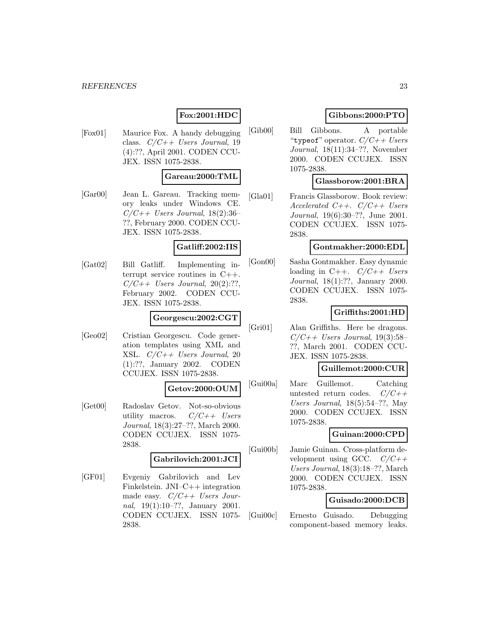## **Fox:2001:HDC**

[Fox01] Maurice Fox. A handy debugging class.  $C/C++$  Users Journal, 19 (4):??, April 2001. CODEN CCU-JEX. ISSN 1075-2838.

#### **Gareau:2000:TML**

[Gar00] Jean L. Gareau. Tracking memory leaks under Windows CE.  $C/C++$  Users Journal, 18(2):36– ??, February 2000. CODEN CCU-JEX. ISSN 1075-2838.

#### **Gatliff:2002:IIS**

[Gat02] Bill Gatliff. Implementing interrupt service routines in C++.  $C/C++$  Users Journal,  $20(2):??$ February 2002. CODEN CCU-JEX. ISSN 1075-2838.

### **Georgescu:2002:CGT**

[Geo02] Cristian Georgescu. Code generation templates using XML and XSL. C/C++ Users Journal, 20 (1):??, January 2002. CODEN CCUJEX. ISSN 1075-2838.

### **Getov:2000:OUM**

[Get00] Radoslav Getov. Not-so-obvious utility macros.  $C/C++$  Users Journal, 18(3):27–??, March 2000. CODEN CCUJEX. ISSN 1075- 2838.

#### **Gabrilovich:2001:JCI**

[GF01] Evgeniy Gabrilovich and Lev Finkelstein. JNI–C++ integration made easy.  $C/C++$  Users Journal, 19(1):10–??, January 2001. CODEN CCUJEX. ISSN 1075- 2838.

## **Gibbons:2000:PTO**

[Gib00] Bill Gibbons. A portable "typeof" operator.  $C/C++Users$ Journal, 18(11):34–??, November 2000. CODEN CCUJEX. ISSN 1075-2838.

### **Glassborow:2001:BRA**

[Gla01] Francis Glassborow. Book review: Accelerated  $C++$ .  $C/C++$  Users Journal, 19(6):30–??, June 2001. CODEN CCUJEX. ISSN 1075- 2838.

## **Gontmakher:2000:EDL**

[Gon00] Sasha Gontmakher. Easy dynamic loading in C++.  $C/C++$  Users Journal, 18(1):??, January 2000. CODEN CCUJEX. ISSN 1075- 2838.

### **Griffiths:2001:HD**

[Gri01] Alan Griffiths. Here be dragons.  $C/C++$  Users Journal, 19(3):58-??, March 2001. CODEN CCU-JEX. ISSN 1075-2838.

## **Guillemot:2000:CUR**

[Gui00a] Marc Guillemot. Catching untested return codes.  $C/C++$ Users Journal,  $18(5):54-??$ , May 2000. CODEN CCUJEX. ISSN 1075-2838.

### **Guinan:2000:CPD**

[Gui00b] Jamie Guinan. Cross-platform development using GCC.  $C/C++$ Users Journal, 18(3):18–??, March 2000. CODEN CCUJEX. ISSN 1075-2838.

### **Guisado:2000:DCB**

[Gui00c] Ernesto Guisado. Debugging component-based memory leaks.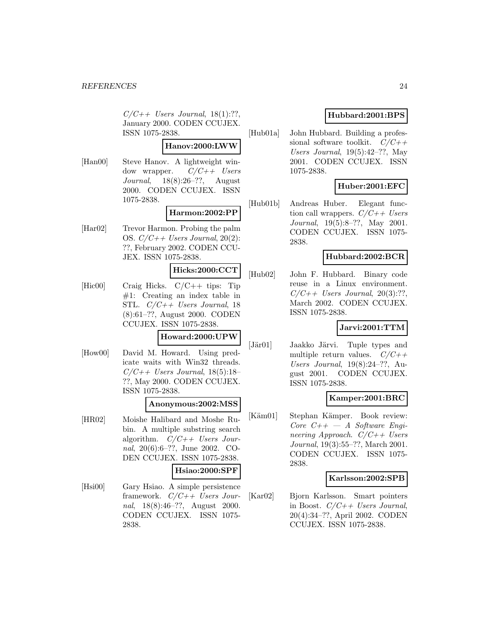$C/C++$  Users Journal, 18(1):??, January 2000. CODEN CCUJEX. ISSN 1075-2838.

### **Hanov:2000:LWW**

[Han00] Steve Hanov. A lightweight window wrapper.  $C/C++$  Users Journal, 18(8):26–??, August 2000. CODEN CCUJEX. ISSN 1075-2838.

### **Harmon:2002:PP**

[Har02] Trevor Harmon. Probing the palm OS.  $C/C++$  Users Journal, 20(2): ??, February 2002. CODEN CCU-JEX. ISSN 1075-2838.

#### **Hicks:2000:CCT**

[Hic00] Craig Hicks. C/C++ tips: Tip  $#1$ : Creating an index table in STL. C/C++ Users Journal, 18 (8):61–??, August 2000. CODEN CCUJEX. ISSN 1075-2838.

#### **Howard:2000:UPW**

[How00] David M. Howard. Using predicate waits with Win32 threads.  $C/C++$  Users Journal, 18(5):18– ??, May 2000. CODEN CCUJEX. ISSN 1075-2838.

#### **Anonymous:2002:MSS**

[HR02] Moishe Halibard and Moshe Rubin. A multiple substring search algorithm.  $C/C++$  Users Journal, 20(6):6–??, June 2002. CO-DEN CCUJEX. ISSN 1075-2838.

#### **Hsiao:2000:SPF**

[Hsi00] Gary Hsiao. A simple persistence framework. C/C++ Users Journal, 18(8):46–??, August 2000. CODEN CCUJEX. ISSN 1075- 2838.

### **Hubbard:2001:BPS**

[Hub01a] John Hubbard. Building a professional software toolkit.  $C/C++$ Users Journal, 19(5):42–??, May 2001. CODEN CCUJEX. ISSN 1075-2838.

## **Huber:2001:EFC**

[Hub01b] Andreas Huber. Elegant function call wrappers.  $C/C++$  Users Journal, 19(5):8–??, May 2001. CODEN CCUJEX. ISSN 1075- 2838.

### **Hubbard:2002:BCR**

[Hub02] John F. Hubbard. Binary code reuse in a Linux environment.  $C/C++$  Users Journal, 20(3):??, March 2002. CODEN CCUJEX. ISSN 1075-2838.

## **Jarvi:2001:TTM**

[Jär01] Jaakko Järvi. Tuple types and multiple return values.  $C/C++$ Users Journal, 19(8):24–??, August 2001. CODEN CCUJEX. ISSN 1075-2838.

## **Kamper:2001:BRC**

[Käm01] Stephan Kämper. Book review:  $Core$   $C++$   $-$  A Software Engineering Approach.  $C/C++$  Users Journal, 19(3):55–??, March 2001. CODEN CCUJEX. ISSN 1075- 2838.

### **Karlsson:2002:SPB**

[Kar02] Bjorn Karlsson. Smart pointers in Boost.  $C/C++$  Users Journal, 20(4):34–??, April 2002. CODEN CCUJEX. ISSN 1075-2838.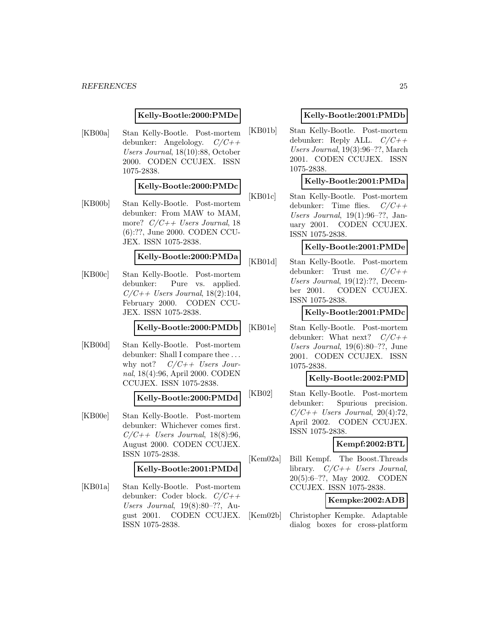#### **Kelly-Bootle:2000:PMDe**

[KB00a] Stan Kelly-Bootle. Post-mortem debunker: Angelology.  $C/C++$ Users Journal, 18(10):88, October 2000. CODEN CCUJEX. ISSN 1075-2838.

#### **Kelly-Bootle:2000:PMDc**

[KB00b] Stan Kelly-Bootle. Post-mortem debunker: From MAW to MAM, more? C/C++ Users Journal, 18 (6):??, June 2000. CODEN CCU-JEX. ISSN 1075-2838.

#### **Kelly-Bootle:2000:PMDa**

[KB00c] Stan Kelly-Bootle. Post-mortem debunker: Pure vs. applied.  $C/C++$  Users Journal, 18(2):104, February 2000. CODEN CCU-JEX. ISSN 1075-2838.

### **Kelly-Bootle:2000:PMDb**

[KB00d] Stan Kelly-Bootle. Post-mortem debunker: Shall I compare thee . . . why not?  $C/C++$  Users Journal, 18(4):96, April 2000. CODEN CCUJEX. ISSN 1075-2838.

#### **Kelly-Bootle:2000:PMDd**

[KB00e] Stan Kelly-Bootle. Post-mortem debunker: Whichever comes first.  $C/C++$  Users Journal, 18(8):96, August 2000. CODEN CCUJEX. ISSN 1075-2838.

## **Kelly-Bootle:2001:PMDd**

[KB01a] Stan Kelly-Bootle. Post-mortem debunker: Coder block. C/C++ Users Journal, 19(8):80–??, August 2001. CODEN CCUJEX. ISSN 1075-2838.

### **Kelly-Bootle:2001:PMDb**

[KB01b] Stan Kelly-Bootle. Post-mortem debunker: Reply ALL.  $C/C++$ Users Journal, 19(3):96–??, March 2001. CODEN CCUJEX. ISSN 1075-2838.

#### **Kelly-Bootle:2001:PMDa**

[KB01c] Stan Kelly-Bootle. Post-mortem debunker: Time flies.  $C/C++$ Users Journal, 19(1):96–??, January 2001. CODEN CCUJEX. ISSN 1075-2838.

#### **Kelly-Bootle:2001:PMDe**

[KB01d] Stan Kelly-Bootle. Post-mortem debunker: Trust me.  $C/C++$ Users Journal, 19(12):??, December 2001. CODEN CCUJEX. ISSN 1075-2838.

### **Kelly-Bootle:2001:PMDc**

[KB01e] Stan Kelly-Bootle. Post-mortem debunker: What next?  $C/C++$ Users Journal, 19(6):80–??, June 2001. CODEN CCUJEX. ISSN 1075-2838.

#### **Kelly-Bootle:2002:PMD**

[KB02] Stan Kelly-Bootle. Post-mortem debunker: Spurious precision.  $C/C++$  Users Journal, 20(4):72, April 2002. CODEN CCUJEX. ISSN 1075-2838.

#### **Kempf:2002:BTL**

[Kem02a] Bill Kempf. The Boost.Threads library.  $C/C++$  Users Journal, 20(5):6–??, May 2002. CODEN CCUJEX. ISSN 1075-2838.

### **Kempke:2002:ADB**

[Kem02b] Christopher Kempke. Adaptable dialog boxes for cross-platform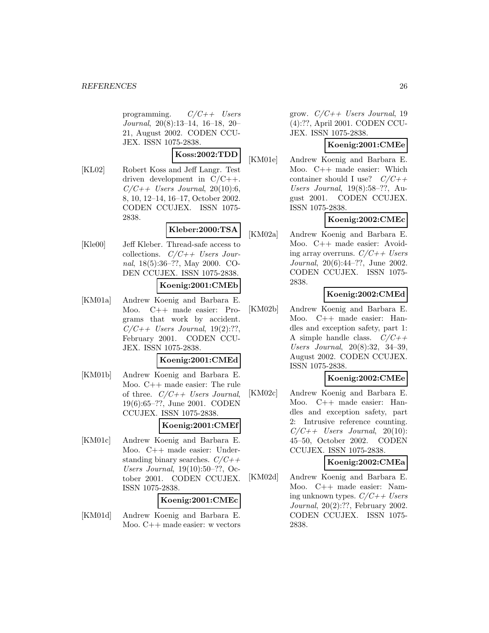programming.  $C/C++$  Users Journal, 20(8):13–14, 16–18, 20– 21, August 2002. CODEN CCU-JEX. ISSN 1075-2838.

### **Koss:2002:TDD**

[KL02] Robert Koss and Jeff Langr. Test driven development in  $C/C++$ .  $C/C++$  Users Journal, 20(10):6, 8, 10, 12–14, 16–17, October 2002. CODEN CCUJEX. ISSN 1075- 2838.

## **Kleber:2000:TSA**

[Kle00] Jeff Kleber. Thread-safe access to collections.  $C/C++$  Users Journal, 18(5):36–??, May 2000. CO-DEN CCUJEX. ISSN 1075-2838.

#### **Koenig:2001:CMEb**

[KM01a] Andrew Koenig and Barbara E. Moo. C++ made easier: Programs that work by accident.  $C/C++$  Users Journal, 19(2):??, February 2001. CODEN CCU-JEX. ISSN 1075-2838.

#### **Koenig:2001:CMEd**

[KM01b] Andrew Koenig and Barbara E. Moo. C++ made easier: The rule of three.  $C/C++$  Users Journal, 19(6):65–??, June 2001. CODEN CCUJEX. ISSN 1075-2838.

#### **Koenig:2001:CMEf**

[KM01c] Andrew Koenig and Barbara E. Moo. C++ made easier: Understanding binary searches.  $C/C++$ Users Journal, 19(10):50–??, October 2001. CODEN CCUJEX. ISSN 1075-2838.

### **Koenig:2001:CMEc**

[KM01d] Andrew Koenig and Barbara E. Moo. C++ made easier: w vectors grow.  $C/C++$  Users Journal, 19 (4):??, April 2001. CODEN CCU-JEX. ISSN 1075-2838.

## **Koenig:2001:CMEe**

[KM01e] Andrew Koenig and Barbara E. Moo. C++ made easier: Which container should I use?  $C/C++$ Users Journal, 19(8):58–??, August 2001. CODEN CCUJEX. ISSN 1075-2838.

## **Koenig:2002:CMEc**

[KM02a] Andrew Koenig and Barbara E. Moo. C++ made easier: Avoiding array overruns.  $C/C++Users$ Journal, 20(6):44–??, June 2002. CODEN CCUJEX. ISSN 1075- 2838.

## **Koenig:2002:CMEd**

[KM02b] Andrew Koenig and Barbara E. Moo. C++ made easier: Handles and exception safety, part 1: A simple handle class.  $C/C++$ Users Journal, 20(8):32, 34–39, August 2002. CODEN CCUJEX. ISSN 1075-2838.

#### **Koenig:2002:CMEe**

[KM02c] Andrew Koenig and Barbara E. Moo. C++ made easier: Handles and exception safety, part 2: Intrusive reference counting.  $C/C++$  Users Journal, 20(10): 45–50, October 2002. CODEN CCUJEX. ISSN 1075-2838.

### **Koenig:2002:CMEa**

[KM02d] Andrew Koenig and Barbara E. Moo. C++ made easier: Naming unknown types.  $C/C++Users$ Journal, 20(2):??, February 2002. CODEN CCUJEX. ISSN 1075- 2838.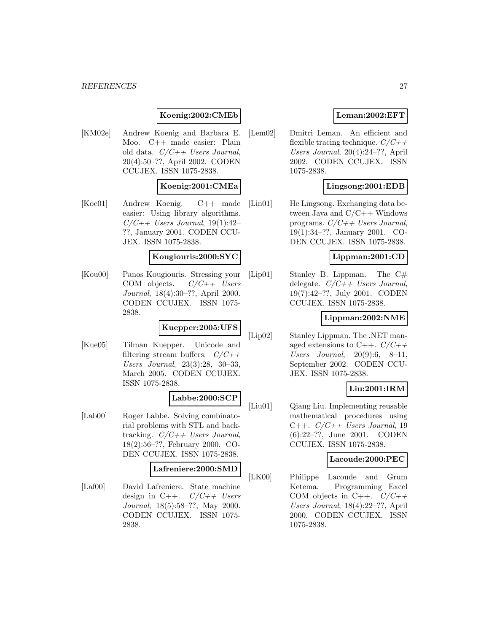### **Koenig:2002:CMEb**

[KM02e] Andrew Koenig and Barbara E. Moo. C++ made easier: Plain old data.  $C/C++$  Users Journal, 20(4):50–??, April 2002. CODEN CCUJEX. ISSN 1075-2838.

### **Koenig:2001:CMEa**

[Koe01] Andrew Koenig. C++ made easier: Using library algorithms.  $C/C++$  Users Journal, 19(1):42-??, January 2001. CODEN CCU-JEX. ISSN 1075-2838.

#### **Kougiouris:2000:SYC**

[Kou00] Panos Kougiouris. Stressing your COM objects.  $C/C++$  Users Journal, 18(4):30–??, April 2000. CODEN CCUJEX. ISSN 1075- 2838.

#### **Kuepper:2005:UFS**

[Kue05] Tilman Kuepper. Unicode and filtering stream buffers.  $C/C++$ Users Journal, 23(3):28, 30–33, March 2005. CODEN CCUJEX. ISSN 1075-2838.

#### **Labbe:2000:SCP**

[Lab00] Roger Labbe. Solving combinatorial problems with STL and backtracking.  $C/C++$  Users Journal, 18(2):56–??, February 2000. CO-DEN CCUJEX. ISSN 1075-2838.

#### **Lafreniere:2000:SMD**

[Laf00] David Lafreniere. State machine design in C++.  $C/C++$  Users Journal, 18(5):58–??, May 2000. CODEN CCUJEX. ISSN 1075- 2838.

## **Leman:2002:EFT**

[Lem02] Dmitri Leman. An efficient and flexible tracing technique.  $C/C++$ Users Journal, 20(4):24–??, April 2002. CODEN CCUJEX. ISSN 1075-2838.

### **Lingsong:2001:EDB**

[Lin01] He Lingsong. Exchanging data between Java and  $C/C++$  Windows programs.  $C/C++$  Users Journal, 19(1):34–??, January 2001. CO-DEN CCUJEX. ISSN 1075-2838.

#### **Lippman:2001:CD**

[Lip01] Stanley B. Lippman. The C# delegate.  $C/C++$  Users Journal, 19(7):42–??, July 2001. CODEN CCUJEX. ISSN 1075-2838.

## **Lippman:2002:NME**

[Lip02] Stanley Lippman. The .NET managed extensions to C++.  $C/C++$ Users Journal, 20(9):6, 8–11, September 2002. CODEN CCU-JEX. ISSN 1075-2838.

## **Liu:2001:IRM**

[Liu01] Qiang Liu. Implementing reusable mathematical procedures using C++.  $C/C++$  Users Journal, 19 (6):22–??, June 2001. CODEN CCUJEX. ISSN 1075-2838.

## **Lacoude:2000:PEC**

[LK00] Philippe Lacoude and Grum Ketema. Programming Excel COM objects in C++.  $C/C++$ Users Journal, 18(4):22–??, April 2000. CODEN CCUJEX. ISSN 1075-2838.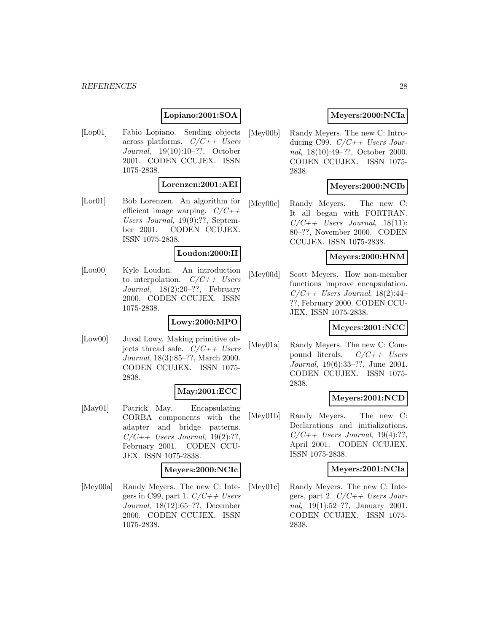## **Lopiano:2001:SOA**

[Lop01] Fabio Lopiano. Sending objects across platforms.  $C/C++$  Users Journal, 19(10):10–??, October 2001. CODEN CCUJEX. ISSN 1075-2838.

#### **Lorenzen:2001:AEI**

[Lor01] Bob Lorenzen. An algorithm for efficient image warping.  $C/C++$ Users Journal, 19(9):??, September 2001. CODEN CCUJEX. ISSN 1075-2838.

### **Loudon:2000:II**

[Lou00] Kyle Loudon. An introduction to interpolation.  $C/C++$  Users Journal, 18(2):20–??, February 2000. CODEN CCUJEX. ISSN 1075-2838.

#### **Lowy:2000:MPO**

[Low00] Juval Lowy. Making primitive objects thread safe.  $C/C++$  Users Journal, 18(3):85–??, March 2000. CODEN CCUJEX. ISSN 1075- 2838.

### **May:2001:ECC**

[May01] Patrick May. Encapsulating CORBA components with the adapter and bridge patterns.  $C/C++$  Users Journal, 19(2):??, February 2001. CODEN CCU-JEX. ISSN 1075-2838.

#### **Meyers:2000:NCIc**

[Mey00a] Randy Meyers. The new C: Integers in C99, part 1.  $C/C++$  Users Journal, 18(12):65–??, December 2000. CODEN CCUJEX. ISSN 1075-2838.

## **Meyers:2000:NCIa**

[Mey00b] Randy Meyers. The new C: Introducing C99.  $C/C++$  Users Journal, 18(10):49–??, October 2000. CODEN CCUJEX. ISSN 1075- 2838.

## **Meyers:2000:NCIb**

[Mey00c] Randy Meyers. The new C: It all began with FORTRAN.  $C/C++$  Users Journal, 18(11): 80–??, November 2000. CODEN CCUJEX. ISSN 1075-2838.

#### **Meyers:2000:HNM**

[Mey00d] Scott Meyers. How non-member functions improve encapsulation.  $C/C++$  Users Journal, 18(2):44– ??, February 2000. CODEN CCU-JEX. ISSN 1075-2838.

## **Meyers:2001:NCC**

[Mey01a] Randy Meyers. The new C: Compound literals.  $C/C++$  Users Journal, 19(6):33–??, June 2001. CODEN CCUJEX. ISSN 1075- 2838.

#### **Meyers:2001:NCD**

[Mey01b] Randy Meyers. The new C: Declarations and initializations.  $C/C++$  Users Journal, 19(4):??, April 2001. CODEN CCUJEX. ISSN 1075-2838.

#### **Meyers:2001:NCIa**

[Mey01c] Randy Meyers. The new C: Integers, part 2.  $C/C++$  Users Journal, 19(1):52–??, January 2001. CODEN CCUJEX. ISSN 1075- 2838.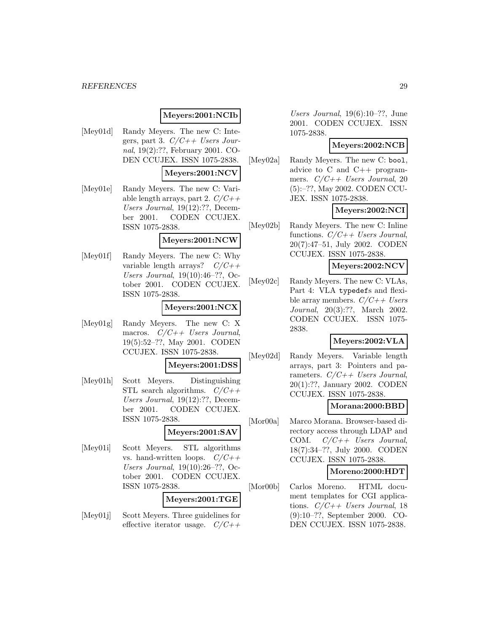### **Meyers:2001:NCIb**

[Mey01d] Randy Meyers. The new C: Integers, part 3.  $C/C++$  Users Journal, 19(2):??, February 2001. CO-DEN CCUJEX. ISSN 1075-2838.

#### **Meyers:2001:NCV**

[Mey01e] Randy Meyers. The new C: Variable length arrays, part 2.  $C/C++$ Users Journal, 19(12):??, December 2001. CODEN CCUJEX. ISSN 1075-2838.

#### **Meyers:2001:NCW**

[Mey01f] Randy Meyers. The new C: Why variable length arrays?  $C/C++$ Users Journal, 19(10):46–??, October 2001. CODEN CCUJEX. ISSN 1075-2838.

#### **Meyers:2001:NCX**

[Mey01g] Randy Meyers. The new C: X macros.  $C/C++$  Users Journal, 19(5):52–??, May 2001. CODEN CCUJEX. ISSN 1075-2838.

## **Meyers:2001:DSS**

[Mey01h] Scott Meyers. Distinguishing STL search algorithms.  $C/C++$ Users Journal, 19(12):??, December 2001. CODEN CCUJEX. ISSN 1075-2838.

#### **Meyers:2001:SAV**

[Mey01i] Scott Meyers. STL algorithms vs. hand-written loops.  $C/C++$ Users Journal, 19(10):26–??, October 2001. CODEN CCUJEX. ISSN 1075-2838.

#### **Meyers:2001:TGE**

[Mey01j] Scott Meyers. Three guidelines for effective iterator usage.  $C/C++$ 

Users Journal,  $19(6):10-??$ , June 2001. CODEN CCUJEX. ISSN 1075-2838.

## **Meyers:2002:NCB**

[Mey02a] Randy Meyers. The new C: bool, advice to C and C++ programmers.  $C/C++$  Users Journal, 20 (5):–??, May 2002. CODEN CCU-JEX. ISSN 1075-2838.

## **Meyers:2002:NCI**

[Mey02b] Randy Meyers. The new C: Inline functions.  $C/C++$  Users Journal, 20(7):47–51, July 2002. CODEN CCUJEX. ISSN 1075-2838.

#### **Meyers:2002:NCV**

[Mey02c] Randy Meyers. The new C: VLAs, Part 4: VLA typedefs and flexible array members.  $C/C++Users$ Journal, 20(3):??, March 2002. CODEN CCUJEX. ISSN 1075- 2838.

#### **Meyers:2002:VLA**

[Mey02d] Randy Meyers. Variable length arrays, part 3: Pointers and parameters.  $C/C++$  Users Journal. 20(1):??, January 2002. CODEN CCUJEX. ISSN 1075-2838.

#### **Morana:2000:BBD**

[Mor00a] Marco Morana. Browser-based directory access through LDAP and COM.  $C/C++$  Users Journal, 18(7):34–??, July 2000. CODEN CCUJEX. ISSN 1075-2838.

## **Moreno:2000:HDT**

[Mor00b] Carlos Moreno. HTML document templates for CGI applications.  $C/C++$  Users Journal, 18 (9):10–??, September 2000. CO-DEN CCUJEX. ISSN 1075-2838.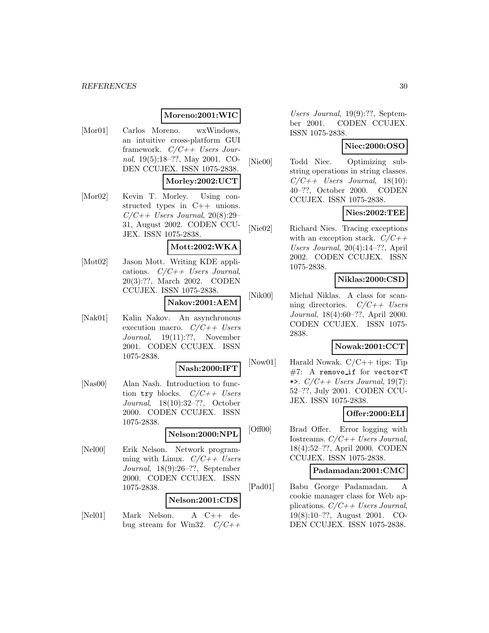#### **Moreno:2001:WIC**

[Mor01] Carlos Moreno. wxWindows, an intuitive cross-platform GUI framework.  $C/C++$  Users Journal, 19(5):18–??, May 2001. CO-DEN CCUJEX. ISSN 1075-2838.

## **Morley:2002:UCT**

[Mor02] Kevin T. Morley. Using constructed types in C++ unions.  $C/C++$  Users Journal, 20(8):29– 31, August 2002. CODEN CCU-JEX. ISSN 1075-2838.

#### **Mott:2002:WKA**

[Mot02] Jason Mott. Writing KDE applications.  $C/C++$  Users Journal, 20(3):??, March 2002. CODEN CCUJEX. ISSN 1075-2838.

### **Nakov:2001:AEM**

[Nak01] Kalin Nakov. An asynchronous execution macro.  $C/C++$  Users Journal, 19(11):??, November 2001. CODEN CCUJEX. ISSN 1075-2838.

### **Nash:2000:IFT**

[Nas00] Alan Nash. Introduction to function try blocks.  $C/C++$  Users Journal, 18(10):32–??, October 2000. CODEN CCUJEX. ISSN 1075-2838.

#### **Nelson:2000:NPL**

[Nel00] Erik Nelson. Network programming with Linux.  $C/C++$  Users Journal, 18(9):26–??, September 2000. CODEN CCUJEX. ISSN 1075-2838.

#### **Nelson:2001:CDS**

[Nel01] Mark Nelson. A C++ debug stream for Win32.  $C/C++$  Users Journal, 19(9):??, September 2001. CODEN CCUJEX. CODEN CCUJEX. ISSN 1075-2838.

## **Niec:2000:OSO**

[Nie00] Todd Niec. Optimizing substring operations in string classes.  $C/C++$  Users Journal, 18(10): 40–??, October 2000. CODEN CCUJEX. ISSN 1075-2838.

### **Nies:2002:TEE**

[Nie02] Richard Nies. Tracing exceptions with an exception stack.  $C/C++$ Users Journal, 20(4):14–??, April 2002. CODEN CCUJEX. ISSN 1075-2838.

#### **Niklas:2000:CSD**

[Nik00] Michal Niklas. A class for scanning directories.  $C/C++$  Users Journal, 18(4):60–??, April 2000. CODEN CCUJEX. ISSN 1075- 2838.

## **Nowak:2001:CCT**

[Now01] Harald Nowak. C/C++ tips: Tip  $#7:$  A remove\_if for vector<T \*>.  $C/C++$  Users Journal, 19(7): 52–??, July 2001. CODEN CCU-JEX. ISSN 1075-2838.

#### **Offer:2000:ELI**

[Off00] Brad Offer. Error logging with Iostreams. C/C++ Users Journal, 18(4):52–??, April 2000. CODEN CCUJEX. ISSN 1075-2838.

#### **Padamadan:2001:CMC**

[Pad01] Babu George Padamadan. A cookie manager class for Web applications.  $C/C++$  Users Journal, 19(8):10–??, August 2001. CO-DEN CCUJEX. ISSN 1075-2838.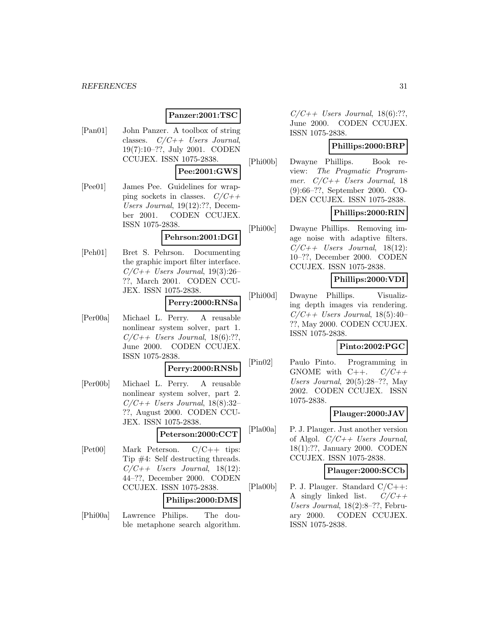### **Panzer:2001:TSC**

[Pan01] John Panzer. A toolbox of string classes.  $C/C++$  Users Journal, 19(7):10–??, July 2001. CODEN CCUJEX. ISSN 1075-2838.

## **Pee:2001:GWS**

[Pee01] James Pee. Guidelines for wrapping sockets in classes.  $C/C++$ Users Journal, 19(12):??, December 2001. CODEN CCUJEX. ISSN 1075-2838.

#### **Pehrson:2001:DGI**

[Peh01] Bret S. Pehrson. Documenting the graphic import filter interface.  $C/C++$  Users Journal, 19(3):26-??, March 2001. CODEN CCU-JEX. ISSN 1075-2838.

#### **Perry:2000:RNSa**

[Per00a] Michael L. Perry. A reusable nonlinear system solver, part 1.  $C/C++$  Users Journal, 18(6):??, June 2000. CODEN CCUJEX. ISSN 1075-2838.

#### **Perry:2000:RNSb**

[Per00b] Michael L. Perry. A reusable nonlinear system solver, part 2.  $C/C++$  Users Journal, 18(8):32-??, August 2000. CODEN CCU-JEX. ISSN 1075-2838.

#### **Peterson:2000:CCT**

[Pet00] Mark Peterson. C/C++ tips: Tip #4: Self destructing threads.  $C/C++$  Users Journal, 18(12): 44–??, December 2000. CODEN CCUJEX. ISSN 1075-2838.

#### **Philips:2000:DMS**

[Phi00a] Lawrence Philips. The double metaphone search algorithm.

 $C/C++$  Users Journal, 18(6):??, June 2000. CODEN CCUJEX. ISSN 1075-2838.

## **Phillips:2000:BRP**

[Phi00b] Dwayne Phillips. Book review: The Pragmatic Programmer.  $C/C++$  Users Journal, 18 (9):66–??, September 2000. CO-DEN CCUJEX. ISSN 1075-2838.

## **Phillips:2000:RIN**

[Phi00c] Dwayne Phillips. Removing image noise with adaptive filters.  $C/C++$  Users Journal, 18(12): 10–??, December 2000. CODEN CCUJEX. ISSN 1075-2838.

## **Phillips:2000:VDI**

[Phi00d] Dwayne Phillips. Visualizing depth images via rendering.  $C/C++$  Users Journal, 18(5):40– ??, May 2000. CODEN CCUJEX. ISSN 1075-2838.

### **Pinto:2002:PGC**

[Pin02] Paulo Pinto. Programming in GNOME with C++.  $C/C++$ Users Journal,  $20(5):28-??$ , May 2002. CODEN CCUJEX. ISSN 1075-2838.

## **Plauger:2000:JAV**

[Pla00a] P. J. Plauger. Just another version of Algol.  $C/C++$  Users Journal, 18(1):??, January 2000. CODEN CCUJEX. ISSN 1075-2838.

#### **Plauger:2000:SCCb**

[Pla00b] P. J. Plauger. Standard C/C++: A singly linked list.  $C/C++$ Users Journal, 18(2):8–??, February 2000. CODEN CCUJEX. ISSN 1075-2838.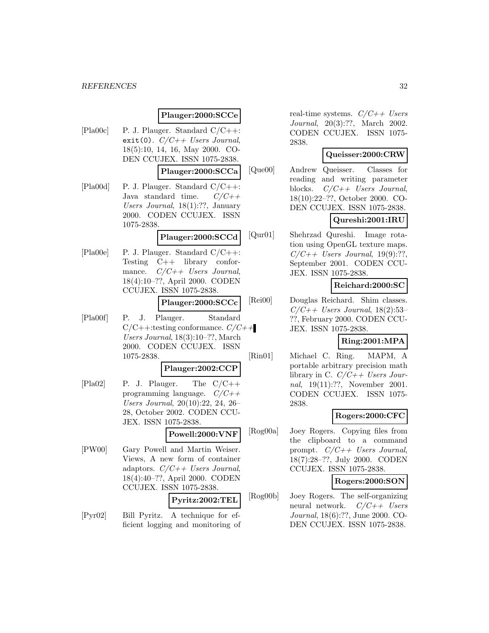#### **Plauger:2000:SCCe**

- [Pla00c] P. J. Plauger. Standard  $C/C++$ : exit(0).  $C/C++$  Users Journal, 18(5):10, 14, 16, May 2000. CO-DEN CCUJEX. ISSN 1075-2838. **Plauger:2000:SCCa**
- [Pla00d] P. J. Plauger. Standard C/C++: Java standard time.  $C/C++$ Users Journal, 18(1):??, January 2000. CODEN CCUJEX. ISSN 1075-2838.

#### **Plauger:2000:SCCd**

[Pla00e] P. J. Plauger. Standard  $C/C++$ : Testing C++ library conformance.  $C/C++$  Users Journal, 18(4):10–??, April 2000. CODEN CCUJEX. ISSN 1075-2838.

## **Plauger:2000:SCCc**

[Pla00f] P. J. Plauger. Standard  $C/C++$ :testing conformance.  $C/C++$ Users Journal, 18(3):10–??, March 2000. CODEN CCUJEX. ISSN 1075-2838.

#### **Plauger:2002:CCP**

 $[Pla02]$  P. J. Plauger. The  $C/C++$ programming language. C/C++ Users Journal, 20(10):22, 24, 26– 28, October 2002. CODEN CCU-JEX. ISSN 1075-2838.

#### **Powell:2000:VNF**

[PW00] Gary Powell and Martin Weiser. Views, A new form of container adaptors.  $C/C++$  Users Journal, 18(4):40–??, April 2000. CODEN CCUJEX. ISSN 1075-2838.

#### **Pyritz:2002:TEL**

[Pyr02] Bill Pyritz. A technique for efficient logging and monitoring of real-time systems.  $C/C++$  Users Journal, 20(3):??, March 2002. CODEN CCUJEX. ISSN 1075- 2838.

### **Queisser:2000:CRW**

[Que00] Andrew Queisser. Classes for reading and writing parameter blocks.  $C/C++$  Users Journal, 18(10):22–??, October 2000. CO-DEN CCUJEX. ISSN 1075-2838.

## **Qureshi:2001:IRU**

[Qur01] Shehrzad Qureshi. Image rotation using OpenGL texture maps.  $C/C++$  Users Journal, 19(9):??, September 2001. CODEN CCU-JEX. ISSN 1075-2838.

### **Reichard:2000:SC**

[Rei00] Douglas Reichard. Shim classes.  $C/C++$  Users Journal, 18(2):53– ??, February 2000. CODEN CCU-JEX. ISSN 1075-2838.

## **Ring:2001:MPA**

[Rin01] Michael C. Ring. MAPM, A portable arbitrary precision math library in C.  $C/C++$  Users Journal, 19(11):??, November 2001. CODEN CCUJEX. ISSN 1075- 2838.

#### **Rogers:2000:CFC**

[Rog00a] Joey Rogers. Copying files from the clipboard to a command prompt.  $C/C++$  Users Journal, 18(7):28–??, July 2000. CODEN CCUJEX. ISSN 1075-2838.

#### **Rogers:2000:SON**

[Rog00b] Joey Rogers. The self-organizing neural network.  $C/C++$  Users Journal, 18(6):??, June 2000. CO-DEN CCUJEX. ISSN 1075-2838.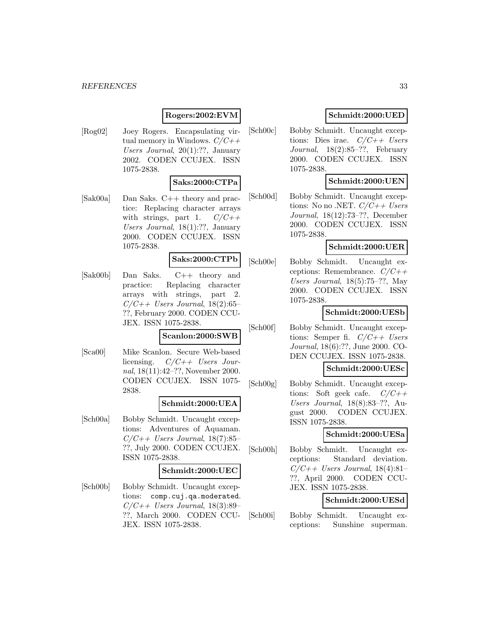### **Rogers:2002:EVM**

[Rog02] Joey Rogers. Encapsulating virtual memory in Windows.  $C/C++$ Users Journal, 20(1):??, January 2002. CODEN CCUJEX. ISSN 1075-2838.

#### **Saks:2000:CTPa**

[Sak00a] Dan Saks. C++ theory and practice: Replacing character arrays with strings, part 1.  $C/C_{++}$ Users Journal, 18(1):??, January 2000. CODEN CCUJEX. ISSN 1075-2838.

### **Saks:2000:CTPb**

[Sak00b] Dan Saks. C++ theory and practice: Replacing character arrays with strings, part 2.  $C/C++$  Users Journal, 18(2):65– ??, February 2000. CODEN CCU-JEX. ISSN 1075-2838.

## **Scanlon:2000:SWB**

[Sca00] Mike Scanlon. Secure Web-based licensing.  $C/C++$  Users Journal, 18(11):42–??, November 2000. CODEN CCUJEX. ISSN 1075- 2838.

#### **Schmidt:2000:UEA**

[Sch00a] Bobby Schmidt. Uncaught exceptions: Adventures of Aquaman.  $C/C++$  Users Journal, 18(7):85– ??, July 2000. CODEN CCUJEX. ISSN 1075-2838.

#### **Schmidt:2000:UEC**

[Sch00b] Bobby Schmidt. Uncaught exceptions: comp.cuj.qa.moderated.  $C/C++$  Users Journal, 18(3):89– ??, March 2000. CODEN CCU-JEX. ISSN 1075-2838.

## **Schmidt:2000:UED**

[Sch00c] Bobby Schmidt. Uncaught exceptions: Dies irae.  $C/C++$  Users Journal, 18(2):85–??, February 2000. CODEN CCUJEX. ISSN 1075-2838.

#### **Schmidt:2000:UEN**

[Sch00d] Bobby Schmidt. Uncaught exceptions: No no .NET.  $C/C++$  Users Journal, 18(12):73–??, December 2000. CODEN CCUJEX. ISSN 1075-2838.

### **Schmidt:2000:UER**

[Sch00e] Bobby Schmidt. Uncaught exceptions: Remembrance.  $C/C++$ Users Journal, 18(5):75–??, May 2000. CODEN CCUJEX. ISSN 1075-2838.

## **Schmidt:2000:UESb**

[Sch00f] Bobby Schmidt. Uncaught exceptions: Semper fi.  $C/C++$  Users Journal, 18(6):??, June 2000. CO-DEN CCUJEX. ISSN 1075-2838.

## **Schmidt:2000:UESc**

[Sch00g] Bobby Schmidt. Uncaught exceptions: Soft geek cafe.  $C/C++$ Users Journal, 18(8):83–??, August 2000. CODEN CCUJEX. ISSN 1075-2838.

#### **Schmidt:2000:UESa**

[Sch00h] Bobby Schmidt. Uncaught exceptions: Standard deviation.  $C/C++$  Users Journal, 18(4):81– ??, April 2000. CODEN CCU-JEX. ISSN 1075-2838.

### **Schmidt:2000:UESd**

[Sch00i] Bobby Schmidt. Uncaught exceptions: Sunshine superman.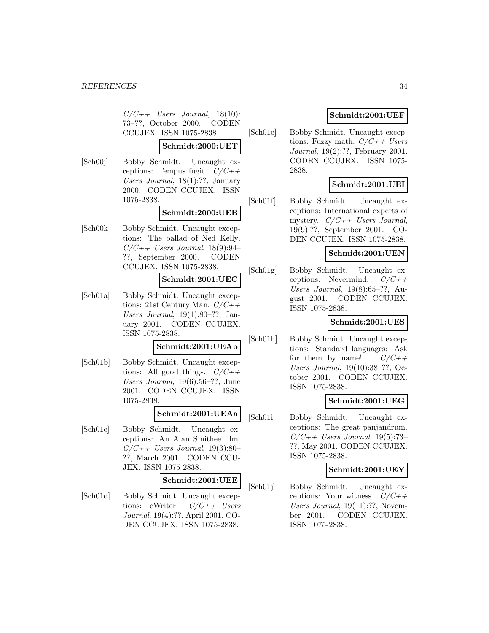$C/C++$  Users Journal, 18(10): 73–??, October 2000. CODEN CCUJEX. ISSN 1075-2838.

### **Schmidt:2000:UET**

[Sch00j] Bobby Schmidt. Uncaught exceptions: Tempus fugit.  $C/C++$ Users Journal, 18(1):??, January 2000. CODEN CCUJEX. ISSN 1075-2838.

### **Schmidt:2000:UEB**

[Sch00k] Bobby Schmidt. Uncaught exceptions: The ballad of Ned Kelly.  $C/C++$  Users Journal, 18(9):94– ??, September 2000. CODEN CCUJEX. ISSN 1075-2838.

## **Schmidt:2001:UEC**

[Sch01a] Bobby Schmidt. Uncaught exceptions: 21st Century Man.  $C/C++$ Users Journal, 19(1):80–??, January 2001. CODEN CCUJEX. ISSN 1075-2838.

## **Schmidt:2001:UEAb**

[Sch01b] Bobby Schmidt. Uncaught exceptions: All good things.  $C/C++$ Users Journal, 19(6):56–??, June 2001. CODEN CCUJEX. ISSN 1075-2838.

### **Schmidt:2001:UEAa**

[Sch01c] Bobby Schmidt. Uncaught exceptions: An Alan Smithee film.  $C/C++$  Users Journal, 19(3):80-??, March 2001. CODEN CCU-JEX. ISSN 1075-2838.

#### **Schmidt:2001:UEE**

[Sch01d] Bobby Schmidt. Uncaught exceptions: eWriter.  $C/C++$  Users Journal, 19(4):??, April 2001. CO-DEN CCUJEX. ISSN 1075-2838.

## **Schmidt:2001:UEF**

[Sch01e] Bobby Schmidt. Uncaught exceptions: Fuzzy math.  $C/C++$  Users Journal, 19(2):??, February 2001. CODEN CCUJEX. ISSN 1075- 2838.

## **Schmidt:2001:UEI**

[Sch01f] Bobby Schmidt. Uncaught exceptions: International experts of mystery.  $C/C++$  Users Journal, 19(9):??, September 2001. CO-DEN CCUJEX. ISSN 1075-2838.

### **Schmidt:2001:UEN**

[Sch01g] Bobby Schmidt. Uncaught exceptions: Nevermind.  $C/C++$ Users Journal, 19(8):65–??, August 2001. CODEN CCUJEX. ISSN 1075-2838.

## **Schmidt:2001:UES**

[Sch01h] Bobby Schmidt. Uncaught exceptions: Standard languages: Ask for them by name!  $C/C_{++}$ Users Journal, 19(10):38–??, October 2001. CODEN CCUJEX. ISSN 1075-2838.

#### **Schmidt:2001:UEG**

[Sch01i] Bobby Schmidt. Uncaught exceptions: The great panjandrum.  $C/C++$  Users Journal, 19(5):73-??, May 2001. CODEN CCUJEX. ISSN 1075-2838.

#### **Schmidt:2001:UEY**

[Sch01j] Bobby Schmidt. Uncaught exceptions: Your witness.  $C/C++$ Users Journal, 19(11):??, November 2001. CODEN CCUJEX. ISSN 1075-2838.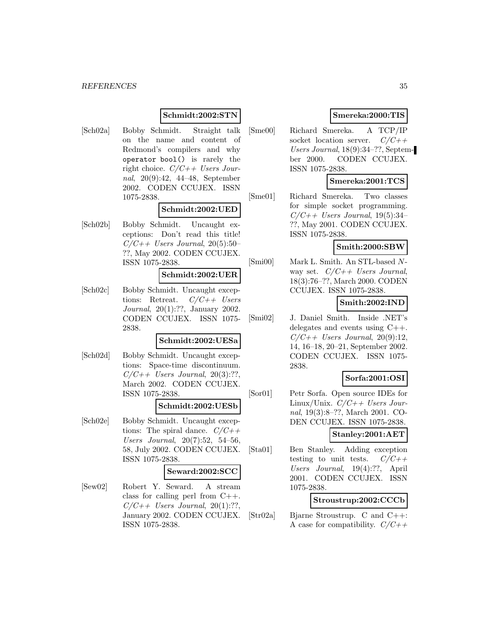#### **Schmidt:2002:STN**

[Sch02a] Bobby Schmidt. Straight talk on the name and content of Redmond's compilers and why operator bool() is rarely the right choice.  $C/C++$  Users Journal, 20(9):42, 44–48, September 2002. CODEN CCUJEX. ISSN 1075-2838.

#### **Schmidt:2002:UED**

[Sch02b] Bobby Schmidt. Uncaught exceptions: Don't read this title!  $C/C++$  Users Journal, 20(5):50– ??, May 2002. CODEN CCUJEX. ISSN 1075-2838.

## **Schmidt:2002:UER**

[Sch02c] Bobby Schmidt. Uncaught exceptions: Retreat.  $C/C++$  Users Journal, 20(1):??, January 2002. CODEN CCUJEX. ISSN 1075- 2838.

#### **Schmidt:2002:UESa**

[Sch02d] Bobby Schmidt. Uncaught exceptions: Space-time discontinuum.  $C/C++$  Users Journal, 20(3):??, March 2002. CODEN CCUJEX. ISSN 1075-2838.

#### **Schmidt:2002:UESb**

[Sch02e] Bobby Schmidt. Uncaught exceptions: The spiral dance.  $C/C++$ Users Journal, 20(7):52, 54–56, 58, July 2002. CODEN CCUJEX. ISSN 1075-2838.

#### **Seward:2002:SCC**

[Sew02] Robert Y. Seward. A stream class for calling perl from C++.  $C/C++$  Users Journal, 20(1):??, January 2002. CODEN CCUJEX. ISSN 1075-2838.

### **Smereka:2000:TIS**

[Sme00] Richard Smereka. A TCP/IP socket location server.  $C/C++$ Users Journal, 18(9):34–??, September 2000. CODEN CCUJEX. ISSN 1075-2838.

#### **Smereka:2001:TCS**

[Sme01] Richard Smereka. Two classes for simple socket programming.  $C/C++$  Users Journal, 19(5):34– ??, May 2001. CODEN CCUJEX. ISSN 1075-2838.

### **Smith:2000:SBW**

[Smi00] Mark L. Smith. An STL-based Nway set.  $C/C++$  Users Journal, 18(3):76–??, March 2000. CODEN CCUJEX. ISSN 1075-2838.

#### **Smith:2002:IND**

[Smi02] J. Daniel Smith. Inside .NET's delegates and events using C++.  $C/C++$  Users Journal, 20(9):12, 14, 16–18, 20–21, September 2002. CODEN CCUJEX. ISSN 1075- 2838.

#### **Sorfa:2001:OSI**

[Sor01] Petr Sorfa. Open source IDEs for Linux/Unix.  $C/C++$  Users Journal, 19(3):8–??, March 2001. CO-DEN CCUJEX. ISSN 1075-2838.

**Stanley:2001:AET**

[Sta01] Ben Stanley. Adding exception testing to unit tests.  $C/C++$ Users Journal, 19(4):??, April 2001. CODEN CCUJEX. ISSN 1075-2838.

#### **Stroustrup:2002:CCCb**

[Str02a] Bjarne Stroustrup. C and C++: A case for compatibility.  $C/C++$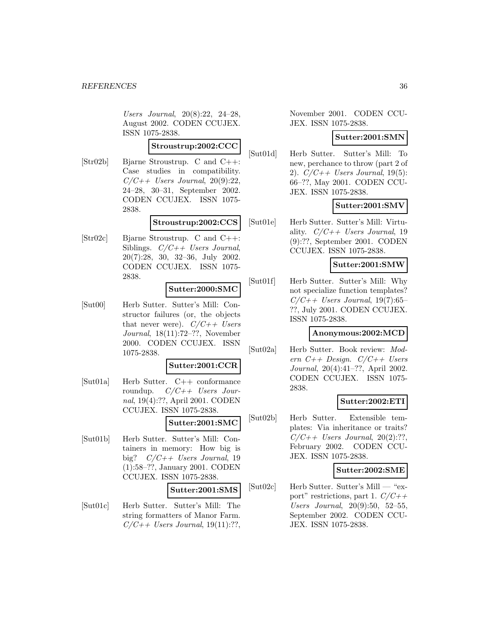Users Journal, 20(8):22, 24–28, August 2002. CODEN CCUJEX. ISSN 1075-2838.

## **Stroustrup:2002:CCC**

[Str02b] Bjarne Stroustrup. C and C++: Case studies in compatibility.  $C/C++$  Users Journal, 20(9):22, 24–28, 30–31, September 2002. CODEN CCUJEX. ISSN 1075- 2838.

#### **Stroustrup:2002:CCS**

[Str02c] Bjarne Stroustrup. C and C++: Siblings.  $C/C++$  Users Journal, 20(7):28, 30, 32–36, July 2002. CODEN CCUJEX. ISSN 1075- 2838.

#### **Sutter:2000:SMC**

[Sut00] Herb Sutter. Sutter's Mill: Constructor failures (or, the objects that never were).  $C/C++$  Users Journal, 18(11):72–??, November 2000. CODEN CCUJEX. ISSN 1075-2838.

#### **Sutter:2001:CCR**

[Sut01a] Herb Sutter. C++ conformance roundup.  $C/C++$  Users Journal, 19(4):??, April 2001. CODEN CCUJEX. ISSN 1075-2838.

## **Sutter:2001:SMC**

[Sut01b] Herb Sutter. Sutter's Mill: Containers in memory: How big is big?  $C/C++$  Users Journal, 19 (1):58–??, January 2001. CODEN CCUJEX. ISSN 1075-2838.

#### **Sutter:2001:SMS**

[Sut01c] Herb Sutter. Sutter's Mill: The string formatters of Manor Farm.  $C/C++$  Users Journal, 19(11):??,

November 2001. CODEN CCU-JEX. ISSN 1075-2838.

#### **Sutter:2001:SMN**

[Sut01d] Herb Sutter. Sutter's Mill: To new, perchance to throw (part 2 of 2).  $C/C++$  Users Journal, 19(5): 66–??, May 2001. CODEN CCU-JEX. ISSN 1075-2838.

## **Sutter:2001:SMV**

[Sut01e] Herb Sutter. Sutter's Mill: Virtuality.  $C/C++$  Users Journal, 19 (9):??, September 2001. CODEN CCUJEX. ISSN 1075-2838.

### **Sutter:2001:SMW**

[Sut01f] Herb Sutter. Sutter's Mill: Why not specialize function templates?  $C/C++$  Users Journal, 19(7):65– ??, July 2001. CODEN CCUJEX. ISSN 1075-2838.

#### **Anonymous:2002:MCD**

[Sut02a] Herb Sutter. Book review: Modern C++ Design. C/C++ Users Journal, 20(4):41–??, April 2002. CODEN CCUJEX. ISSN 1075- 2838.

#### **Sutter:2002:ETI**

[Sut02b] Herb Sutter. Extensible templates: Via inheritance or traits?  $C/C++$  Users Journal, 20(2):??, February 2002. CODEN CCU-JEX. ISSN 1075-2838.

#### **Sutter:2002:SME**

[Sut02c] Herb Sutter. Sutter's Mill — "export" restrictions, part 1.  $C/C++$ Users Journal, 20(9):50, 52–55, September 2002. CODEN CCU-JEX. ISSN 1075-2838.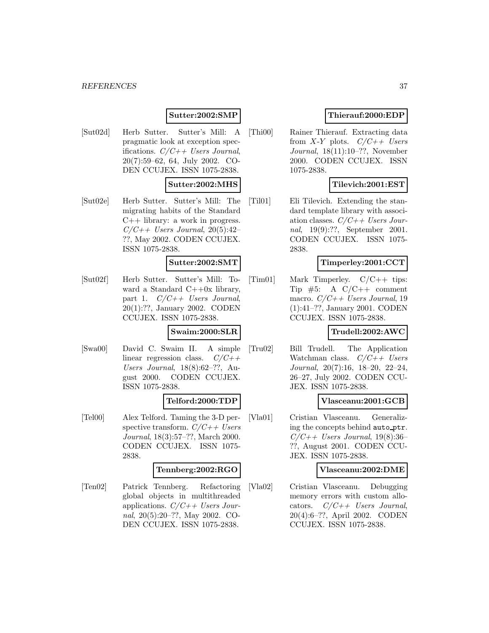## **Sutter:2002:SMP**

[Sut02d] Herb Sutter. Sutter's Mill: A pragmatic look at exception specifications.  $C/C++$  Users Journal, 20(7):59–62, 64, July 2002. CO-DEN CCUJEX. ISSN 1075-2838.

### **Sutter:2002:MHS**

[Sut02e] Herb Sutter. Sutter's Mill: The migrating habits of the Standard C++ library: a work in progress.  $C/C++$  Users Journal, 20(5):42-??, May 2002. CODEN CCUJEX. ISSN 1075-2838.

#### **Sutter:2002:SMT**

[Sut02f] Herb Sutter. Sutter's Mill: Toward a Standard C++0x library, part 1.  $C/C++$  Users Journal, 20(1):??, January 2002. CODEN CCUJEX. ISSN 1075-2838.

## **Swaim:2000:SLR**

[Swa00] David C. Swaim II. A simple linear regression class.  $C/C++$ Users Journal, 18(8):62–??, August 2000. CODEN CCUJEX. ISSN 1075-2838.

#### **Telford:2000:TDP**

[Tel00] Alex Telford. Taming the 3-D perspective transform.  $C/C++$  Users Journal, 18(3):57–??, March 2000. CODEN CCUJEX. ISSN 1075- 2838.

#### **Tennberg:2002:RGO**

[Ten02] Patrick Tennberg. Refactoring global objects in multithreaded applications.  $C/C++$  Users Journal, 20(5):20–??, May 2002. CO-DEN CCUJEX. ISSN 1075-2838.

### **Thierauf:2000:EDP**

[Thi00] Rainer Thierauf. Extracting data from X-Y plots.  $C/C++$  Users Journal, 18(11):10–??, November 2000. CODEN CCUJEX. ISSN 1075-2838.

## **Tilevich:2001:EST**

[Til01] Eli Tilevich. Extending the standard template library with association classes.  $C/C++$  Users Journal, 19(9):??, September 2001. CODEN CCUJEX. ISSN 1075- 2838.

### **Timperley:2001:CCT**

[Tim01] Mark Timperley. C/C++ tips: Tip  $#5$ : A C/C++ comment macro.  $C/C++$  Users Journal, 19 (1):41–??, January 2001. CODEN CCUJEX. ISSN 1075-2838.

## **Trudell:2002:AWC**

[Tru02] Bill Trudell. The Application Watchman class.  $C/C++$  Users Journal, 20(7):16, 18–20, 22–24, 26–27, July 2002. CODEN CCU-JEX. ISSN 1075-2838.

#### **Vlasceanu:2001:GCB**

[Vla01] Cristian Vlasceanu. Generalizing the concepts behind auto ptr.  $C/C++$  Users Journal, 19(8):36– ??, August 2001. CODEN CCU-JEX. ISSN 1075-2838.

#### **Vlasceanu:2002:DME**

[Vla02] Cristian Vlasceanu. Debugging memory errors with custom allocators.  $C/C++$  Users Journal, 20(4):6–??, April 2002. CODEN CCUJEX. ISSN 1075-2838.